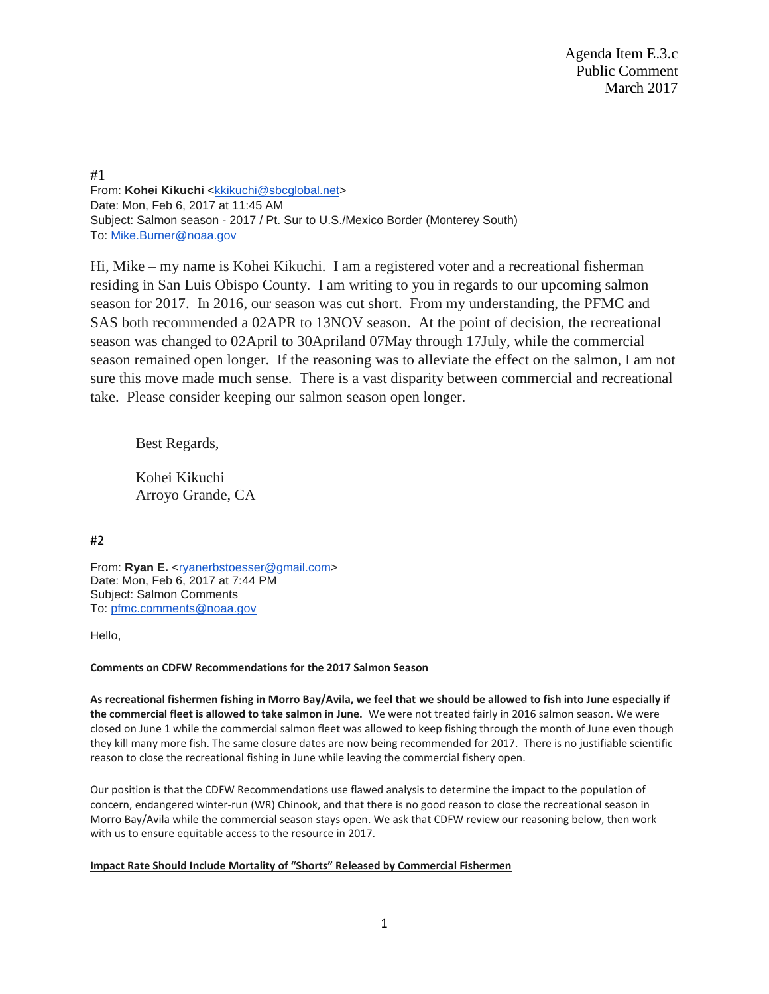Agenda Item E.3.c Public Comment March 2017

#1 From: Kohei Kikuchi [<kkikuchi@sbcglobal.net>](mailto:kkikuchi@sbcglobal.net) Date: Mon, Feb 6, 2017 at 11:45 AM Subject: Salmon season - 2017 / Pt. Sur to U.S./Mexico Border (Monterey South) To: [Mike.Burner@noaa.gov](mailto:Mike.Burner@noaa.gov)

Hi, Mike – my name is Kohei Kikuchi. I am a registered voter and a recreational fisherman residing in San Luis Obispo County. I am writing to you in regards to our upcoming salmon season for 2017. In 2016, our season was cut short. From my understanding, the PFMC and SAS both recommended a 02APR to 13NOV season. At the point of decision, the recreational season was changed to 02April to 30Apriland 07May through 17July, while the commercial season remained open longer. If the reasoning was to alleviate the effect on the salmon, I am not sure this move made much sense. There is a vast disparity between commercial and recreational take. Please consider keeping our salmon season open longer.

Best Regards,

Kohei Kikuchi Arroyo Grande, CA

#2

From: **Ryan E.** [<ryanerbstoesser@gmail.com>](mailto:ryanerbstoesser@gmail.com) Date: Mon, Feb 6, 2017 at 7:44 PM Subject: Salmon Comments To: [pfmc.comments@noaa.gov](mailto:pfmc.comments@noaa.gov)

Hello,

## **Comments on CDFW Recommendations for the 2017 Salmon Season**

**As recreational fishermen fishing in Morro Bay/Avila, we feel that we should be allowed to fish into June especially if the commercial fleet is allowed to take salmon in June.** We were not treated fairly in 2016 salmon season. We were closed on June 1 while the commercial salmon fleet was allowed to keep fishing through the month of June even though they kill many more fish. The same closure dates are now being recommended for 2017. There is no justifiable scientific reason to close the recreational fishing in June while leaving the commercial fishery open.

Our position is that the CDFW Recommendations use flawed analysis to determine the impact to the population of concern, endangered winter-run (WR) Chinook, and that there is no good reason to close the recreational season in Morro Bay/Avila while the commercial season stays open. We ask that CDFW review our reasoning below, then work with us to ensure equitable access to the resource in 2017.

### **Impact Rate Should Include Mortality of "Shorts" Released by Commercial Fishermen**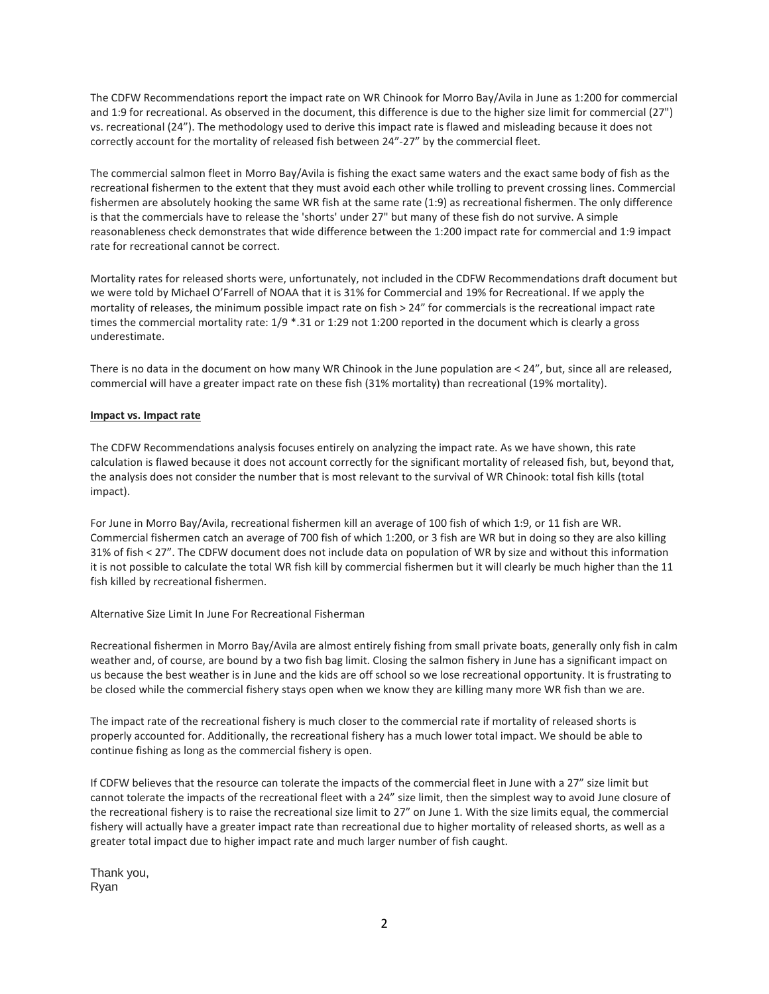The CDFW Recommendations report the impact rate on WR Chinook for Morro Bay/Avila in June as 1:200 for commercial and 1:9 for recreational. As observed in the document, this difference is due to the higher size limit for commercial (27") vs. recreational (24"). The methodology used to derive this impact rate is flawed and misleading because it does not correctly account for the mortality of released fish between 24"-27" by the commercial fleet.

The commercial salmon fleet in Morro Bay/Avila is fishing the exact same waters and the exact same body of fish as the recreational fishermen to the extent that they must avoid each other while trolling to prevent crossing lines. Commercial fishermen are absolutely hooking the same WR fish at the same rate (1:9) as recreational fishermen. The only difference is that the commercials have to release the 'shorts' under 27" but many of these fish do not survive. A simple reasonableness check demonstrates that wide difference between the 1:200 impact rate for commercial and 1:9 impact rate for recreational cannot be correct.

Mortality rates for released shorts were, unfortunately, not included in the CDFW Recommendations draft document but we were told by Michael O'Farrell of NOAA that it is 31% for Commercial and 19% for Recreational. If we apply the mortality of releases, the minimum possible impact rate on fish > 24" for commercials is the recreational impact rate times the commercial mortality rate: 1/9 \*.31 or 1:29 not 1:200 reported in the document which is clearly a gross underestimate.

There is no data in the document on how many WR Chinook in the June population are < 24", but, since all are released, commercial will have a greater impact rate on these fish (31% mortality) than recreational (19% mortality).

### **Impact vs. Impact rate**

The CDFW Recommendations analysis focuses entirely on analyzing the impact rate. As we have shown, this rate calculation is flawed because it does not account correctly for the significant mortality of released fish, but, beyond that, the analysis does not consider the number that is most relevant to the survival of WR Chinook: total fish kills (total impact).

For June in Morro Bay/Avila, recreational fishermen kill an average of 100 fish of which 1:9, or 11 fish are WR. Commercial fishermen catch an average of 700 fish of which 1:200, or 3 fish are WR but in doing so they are also killing 31% of fish < 27". The CDFW document does not include data on population of WR by size and without this information it is not possible to calculate the total WR fish kill by commercial fishermen but it will clearly be much higher than the 11 fish killed by recreational fishermen.

### Alternative Size Limit In June For Recreational Fisherman

Recreational fishermen in Morro Bay/Avila are almost entirely fishing from small private boats, generally only fish in calm weather and, of course, are bound by a two fish bag limit. Closing the salmon fishery in June has a significant impact on us because the best weather is in June and the kids are off school so we lose recreational opportunity. It is frustrating to be closed while the commercial fishery stays open when we know they are killing many more WR fish than we are.

The impact rate of the recreational fishery is much closer to the commercial rate if mortality of released shorts is properly accounted for. Additionally, the recreational fishery has a much lower total impact. We should be able to continue fishing as long as the commercial fishery is open.

If CDFW believes that the resource can tolerate the impacts of the commercial fleet in June with a 27" size limit but cannot tolerate the impacts of the recreational fleet with a 24" size limit, then the simplest way to avoid June closure of the recreational fishery is to raise the recreational size limit to 27" on June 1. With the size limits equal, the commercial fishery will actually have a greater impact rate than recreational due to higher mortality of released shorts, as well as a greater total impact due to higher impact rate and much larger number of fish caught.

Thank you, Ryan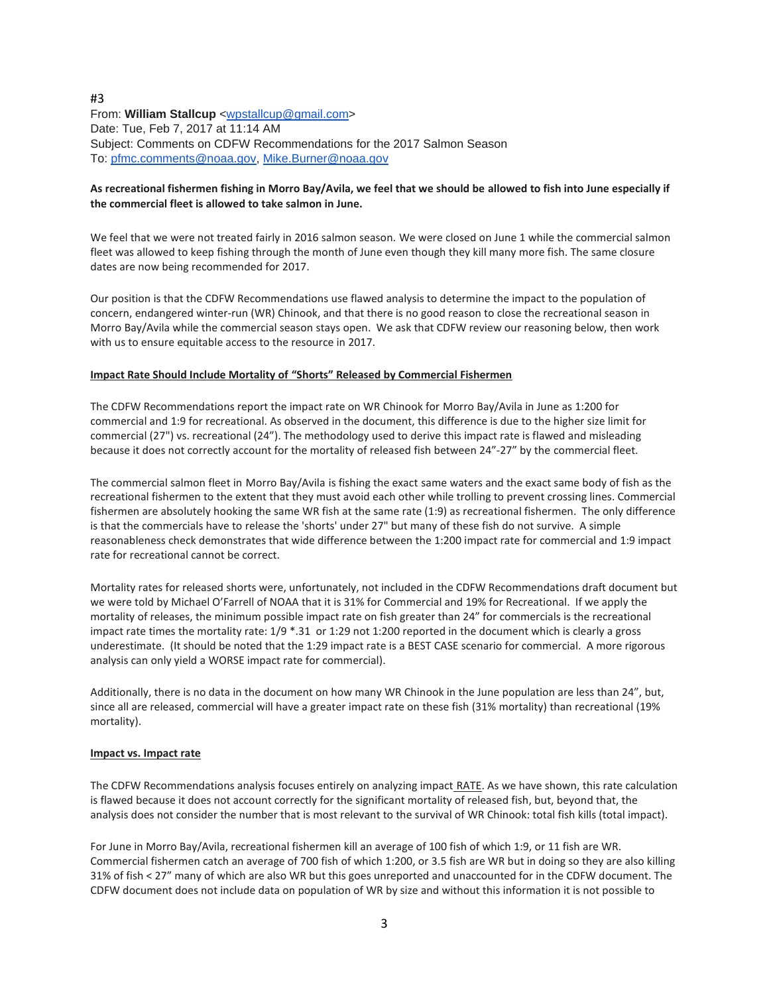### #3 From: **William Stallcup** [<wpstallcup@gmail.com>](mailto:wpstallcup@gmail.com) Date: Tue, Feb 7, 2017 at 11:14 AM Subject: Comments on CDFW Recommendations for the 2017 Salmon Season To: [pfmc.comments@noaa.gov,](mailto:pfmc.comments@noaa.gov) [Mike.Burner@noaa.gov](mailto:Mike.Burner@noaa.gov)

## **As recreational fishermen fishing in Morro Bay/Avila, we feel that we should be allowed to fish into June especially if the commercial fleet is allowed to take salmon in June.**

We feel that we were not treated fairly in 2016 salmon season. We were closed on June 1 while the commercial salmon fleet was allowed to keep fishing through the month of June even though they kill many more fish. The same closure dates are now being recommended for 2017.

Our position is that the CDFW Recommendations use flawed analysis to determine the impact to the population of concern, endangered winter-run (WR) Chinook, and that there is no good reason to close the recreational season in Morro Bay/Avila while the commercial season stays open. We ask that CDFW review our reasoning below, then work with us to ensure equitable access to the resource in 2017.

### **Impact Rate Should Include Mortality of "Shorts" Released by Commercial Fishermen**

The CDFW Recommendations report the impact rate on WR Chinook for Morro Bay/Avila in June as 1:200 for commercial and 1:9 for recreational. As observed in the document, this difference is due to the higher size limit for commercial (27") vs. recreational (24"). The methodology used to derive this impact rate is flawed and misleading because it does not correctly account for the mortality of released fish between 24"-27" by the commercial fleet.

The commercial salmon fleet in Morro Bay/Avila is fishing the exact same waters and the exact same body of fish as the recreational fishermen to the extent that they must avoid each other while trolling to prevent crossing lines. Commercial fishermen are absolutely hooking the same WR fish at the same rate (1:9) as recreational fishermen. The only difference is that the commercials have to release the 'shorts' under 27" but many of these fish do not survive. A simple reasonableness check demonstrates that wide difference between the 1:200 impact rate for commercial and 1:9 impact rate for recreational cannot be correct.

Mortality rates for released shorts were, unfortunately, not included in the CDFW Recommendations draft document but we were told by Michael O'Farrell of NOAA that it is 31% for Commercial and 19% for Recreational. If we apply the mortality of releases, the minimum possible impact rate on fish greater than 24" for commercials is the recreational impact rate times the mortality rate: 1/9 \*.31 or 1:29 not 1:200 reported in the document which is clearly a gross underestimate. (It should be noted that the 1:29 impact rate is a BEST CASE scenario for commercial. A more rigorous analysis can only yield a WORSE impact rate for commercial).

Additionally, there is no data in the document on how many WR Chinook in the June population are less than 24", but, since all are released, commercial will have a greater impact rate on these fish (31% mortality) than recreational (19% mortality).

### **Impact vs. Impact rate**

The CDFW Recommendations analysis focuses entirely on analyzing impact\_RATE. As we have shown, this rate calculation is flawed because it does not account correctly for the significant mortality of released fish, but, beyond that, the analysis does not consider the number that is most relevant to the survival of WR Chinook: total fish kills (total impact).

For June in Morro Bay/Avila, recreational fishermen kill an average of 100 fish of which 1:9, or 11 fish are WR. Commercial fishermen catch an average of 700 fish of which 1:200, or 3.5 fish are WR but in doing so they are also killing 31% of fish < 27" many of which are also WR but this goes unreported and unaccounted for in the CDFW document. The CDFW document does not include data on population of WR by size and without this information it is not possible to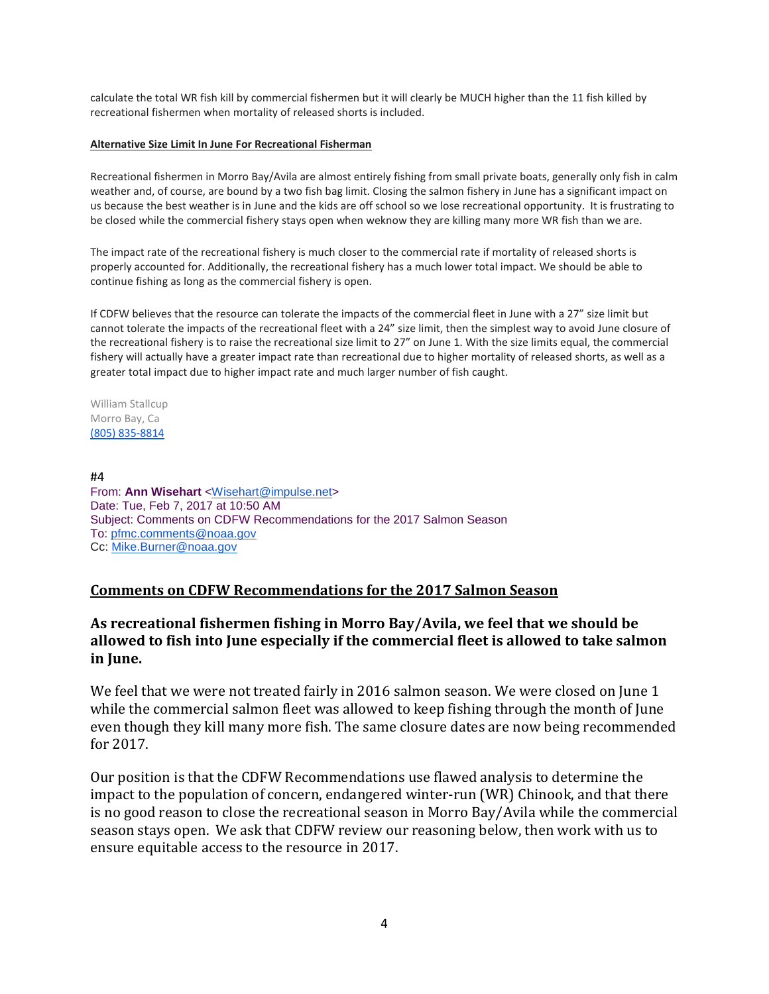calculate the total WR fish kill by commercial fishermen but it will clearly be MUCH higher than the 11 fish killed by recreational fishermen when mortality of released shorts is included.

### **Alternative Size Limit In June For Recreational Fisherman**

Recreational fishermen in Morro Bay/Avila are almost entirely fishing from small private boats, generally only fish in calm weather and, of course, are bound by a two fish bag limit. Closing the salmon fishery in June has a significant impact on us because the best weather is in June and the kids are off school so we lose recreational opportunity. It is frustrating to be closed while the commercial fishery stays open when weknow they are killing many more WR fish than we are.

The impact rate of the recreational fishery is much closer to the commercial rate if mortality of released shorts is properly accounted for. Additionally, the recreational fishery has a much lower total impact. We should be able to continue fishing as long as the commercial fishery is open.

If CDFW believes that the resource can tolerate the impacts of the commercial fleet in June with a 27" size limit but cannot tolerate the impacts of the recreational fleet with a 24" size limit, then the simplest way to avoid June closure of the recreational fishery is to raise the recreational size limit to 27" on June 1. With the size limits equal, the commercial fishery will actually have a greater impact rate than recreational due to higher mortality of released shorts, as well as a greater total impact due to higher impact rate and much larger number of fish caught.

William Stallcup Morro Bay, Ca [\(805\) 835-8814](tel:(805)%20835-8814)

#4

From: **Ann Wisehart** [<Wisehart@impulse.net>](mailto:Wisehart@impulse.net) Date: Tue, Feb 7, 2017 at 10:50 AM Subject: Comments on CDFW Recommendations for the 2017 Salmon Season To: [pfmc.comments@noaa.gov](mailto:pfmc.comments@noaa.gov) Cc: [Mike.Burner@noaa.gov](mailto:Mike.Burner@noaa.gov)

## **Comments on CDFW Recommendations for the 2017 Salmon Season**

## **As recreational fishermen fishing in Morro Bay/Avila, we feel that we should be allowed to fish into June especially if the commercial fleet is allowed to take salmon in June.**

We feel that we were not treated fairly in 2016 salmon season. We were closed on June 1 while the commercial salmon fleet was allowed to keep fishing through the month of June even though they kill many more fish. The same closure dates are now being recommended for 2017.

Our position is that the CDFW Recommendations use flawed analysis to determine the impact to the population of concern, endangered winter-run (WR) Chinook, and that there is no good reason to close the recreational season in Morro Bay/Avila while the commercial season stays open. We ask that CDFW review our reasoning below, then work with us to ensure equitable access to the resource in 2017.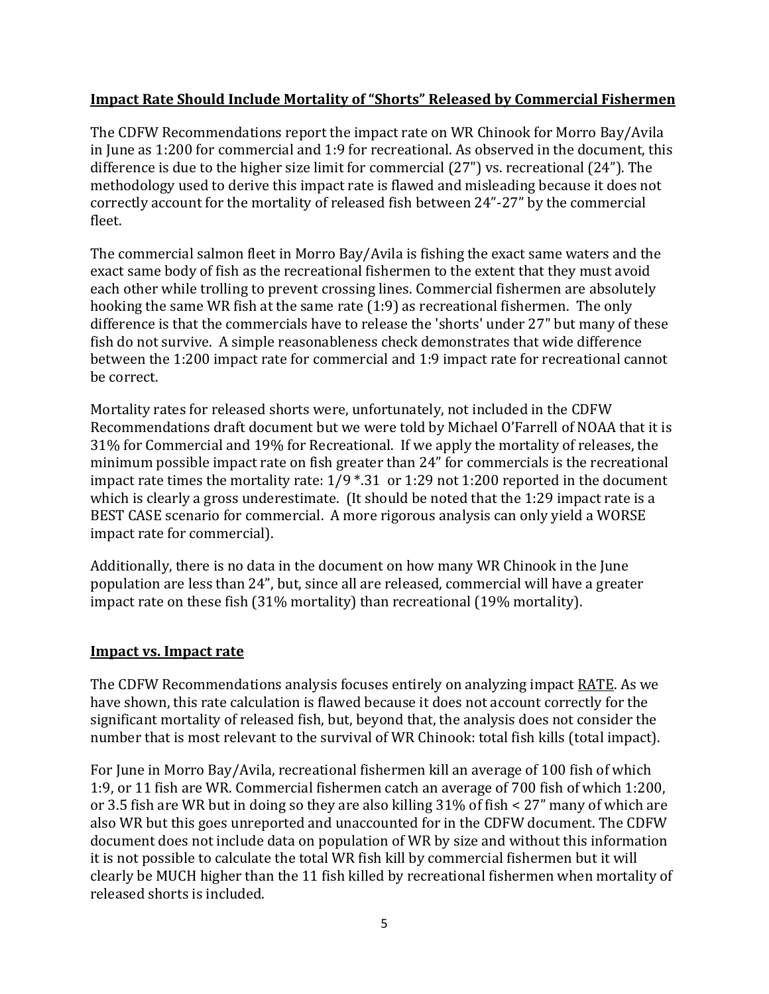# **Impact Rate Should Include Mortality of "Shorts" Released by Commercial Fishermen**

The CDFW Recommendations report the impact rate on WR Chinook for Morro Bay/Avila in June as 1:200 for commercial and 1:9 for recreational. As observed in the document, this difference is due to the higher size limit for commercial (27") vs. recreational (24"). The methodology used to derive this impact rate is flawed and misleading because it does not correctly account for the mortality of released fish between 24"-27" by the commercial fleet.

The commercial salmon fleet in Morro Bay/Avila is fishing the exact same waters and the exact same body of fish as the recreational fishermen to the extent that they must avoid each other while trolling to prevent crossing lines. Commercial fishermen are absolutely hooking the same WR fish at the same rate (1:9) as recreational fishermen. The only difference is that the commercials have to release the 'shorts' under 27" but many of these fish do not survive. A simple reasonableness check demonstrates that wide difference between the 1:200 impact rate for commercial and 1:9 impact rate for recreational cannot be correct.

Mortality rates for released shorts were, unfortunately, not included in the CDFW Recommendations draft document but we were told by Michael O'Farrell of NOAA that it is 31% for Commercial and 19% for Recreational. If we apply the mortality of releases, the minimum possible impact rate on fish greater than 24" for commercials is the recreational impact rate times the mortality rate: 1/9 \*.31 or 1:29 not 1:200 reported in the document which is clearly a gross underestimate. (It should be noted that the 1:29 impact rate is a BEST CASE scenario for commercial. A more rigorous analysis can only yield a WORSE impact rate for commercial).

Additionally, there is no data in the document on how many WR Chinook in the June population are less than 24", but, since all are released, commercial will have a greater impact rate on these fish (31% mortality) than recreational (19% mortality).

# **Impact vs. Impact rate**

The CDFW Recommendations analysis focuses entirely on analyzing impact RATE. As we have shown, this rate calculation is flawed because it does not account correctly for the significant mortality of released fish, but, beyond that, the analysis does not consider the number that is most relevant to the survival of WR Chinook: total fish kills (total impact).

For June in Morro Bay/Avila, recreational fishermen kill an average of 100 fish of which 1:9, or 11 fish are WR. Commercial fishermen catch an average of 700 fish of which 1:200, or 3.5 fish are WR but in doing so they are also killing 31% of fish < 27" many of which are also WR but this goes unreported and unaccounted for in the CDFW document. The CDFW document does not include data on population of WR by size and without this information it is not possible to calculate the total WR fish kill by commercial fishermen but it will clearly be MUCH higher than the 11 fish killed by recreational fishermen when mortality of released shorts is included.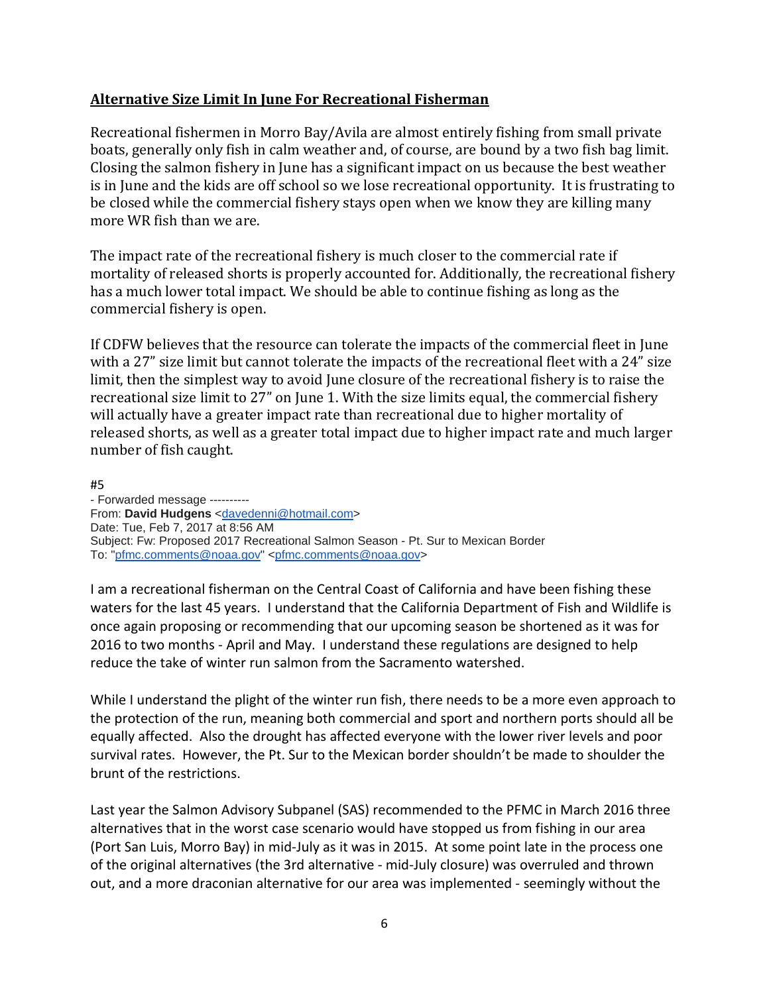# **Alternative Size Limit In June For Recreational Fisherman**

Recreational fishermen in Morro Bay/Avila are almost entirely fishing from small private boats, generally only fish in calm weather and, of course, are bound by a two fish bag limit. Closing the salmon fishery in June has a significant impact on us because the best weather is in June and the kids are off school so we lose recreational opportunity. It is frustrating to be closed while the commercial fishery stays open when we know they are killing many more WR fish than we are.

The impact rate of the recreational fishery is much closer to the commercial rate if mortality of released shorts is properly accounted for. Additionally, the recreational fishery has a much lower total impact. We should be able to continue fishing as long as the commercial fishery is open.

If CDFW believes that the resource can tolerate the impacts of the commercial fleet in June with a 27" size limit but cannot tolerate the impacts of the recreational fleet with a 24" size limit, then the simplest way to avoid June closure of the recreational fishery is to raise the recreational size limit to 27" on June 1. With the size limits equal, the commercial fishery will actually have a greater impact rate than recreational due to higher mortality of released shorts, as well as a greater total impact due to higher impact rate and much larger number of fish caught.

#5 - Forwarded message ---------- From: **David Hudgens** [<davedenni@hotmail.com>](mailto:davedenni@hotmail.com) Date: Tue, Feb 7, 2017 at 8:56 AM Subject: Fw: Proposed 2017 Recreational Salmon Season - Pt. Sur to Mexican Border To: ["pfmc.comments@noaa.gov"](mailto:pfmc.comments@noaa.gov) [<pfmc.comments@noaa.gov>](mailto:pfmc.comments@noaa.gov)

I am a recreational fisherman on the Central Coast of California and have been fishing these waters for the last 45 years. I understand that the California Department of Fish and Wildlife is once again proposing or recommending that our upcoming season be shortened as it was for 2016 to two months - April and May. I understand these regulations are designed to help reduce the take of winter run salmon from the Sacramento watershed.

While I understand the plight of the winter run fish, there needs to be a more even approach to the protection of the run, meaning both commercial and sport and northern ports should all be equally affected. Also the drought has affected everyone with the lower river levels and poor survival rates. However, the Pt. Sur to the Mexican border shouldn't be made to shoulder the brunt of the restrictions.

Last year the Salmon Advisory Subpanel (SAS) recommended to the PFMC in March 2016 three alternatives that in the worst case scenario would have stopped us from fishing in our area (Port San Luis, Morro Bay) in mid-July as it was in 2015. At some point late in the process one of the original alternatives (the 3rd alternative - mid-July closure) was overruled and thrown out, and a more draconian alternative for our area was implemented - seemingly without the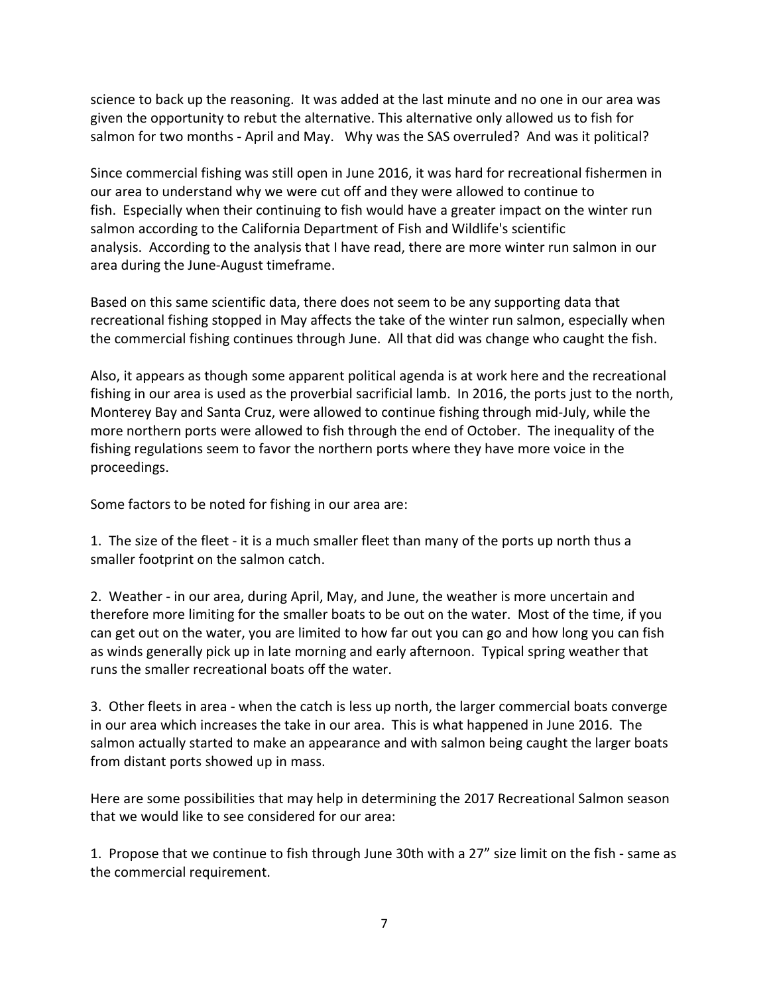science to back up the reasoning. It was added at the last minute and no one in our area was given the opportunity to rebut the alternative. This alternative only allowed us to fish for salmon for two months - April and May. Why was the SAS overruled? And was it political?

Since commercial fishing was still open in June 2016, it was hard for recreational fishermen in our area to understand why we were cut off and they were allowed to continue to fish. Especially when their continuing to fish would have a greater impact on the winter run salmon according to the California Department of Fish and Wildlife's scientific analysis. According to the analysis that I have read, there are more winter run salmon in our area during the June-August timeframe.

Based on this same scientific data, there does not seem to be any supporting data that recreational fishing stopped in May affects the take of the winter run salmon, especially when the commercial fishing continues through June. All that did was change who caught the fish.

Also, it appears as though some apparent political agenda is at work here and the recreational fishing in our area is used as the proverbial sacrificial lamb. In 2016, the ports just to the north, Monterey Bay and Santa Cruz, were allowed to continue fishing through mid-July, while the more northern ports were allowed to fish through the end of October. The inequality of the fishing regulations seem to favor the northern ports where they have more voice in the proceedings.

Some factors to be noted for fishing in our area are:

1. The size of the fleet - it is a much smaller fleet than many of the ports up north thus a smaller footprint on the salmon catch.

2. Weather - in our area, during April, May, and June, the weather is more uncertain and therefore more limiting for the smaller boats to be out on the water. Most of the time, if you can get out on the water, you are limited to how far out you can go and how long you can fish as winds generally pick up in late morning and early afternoon. Typical spring weather that runs the smaller recreational boats off the water.

3. Other fleets in area - when the catch is less up north, the larger commercial boats converge in our area which increases the take in our area. This is what happened in June 2016. The salmon actually started to make an appearance and with salmon being caught the larger boats from distant ports showed up in mass.

Here are some possibilities that may help in determining the 2017 Recreational Salmon season that we would like to see considered for our area:

1. Propose that we continue to fish through June 30th with a 27" size limit on the fish - same as the commercial requirement.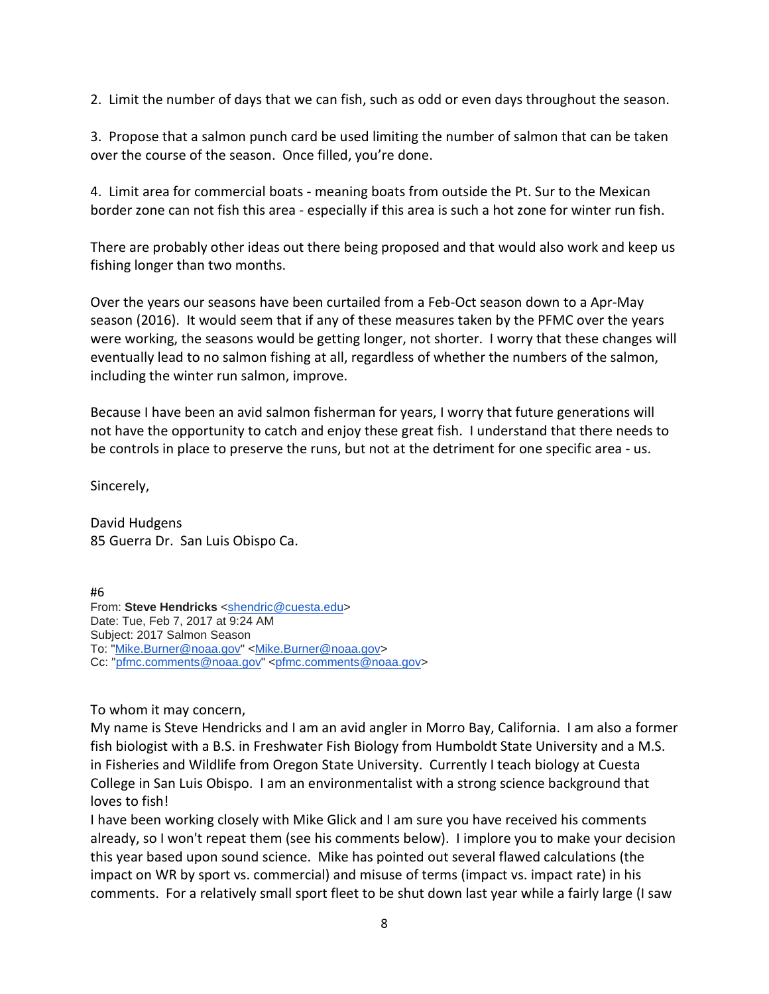2. Limit the number of days that we can fish, such as odd or even days throughout the season.

3. Propose that a salmon punch card be used limiting the number of salmon that can be taken over the course of the season. Once filled, you're done.

4. Limit area for commercial boats - meaning boats from outside the Pt. Sur to the Mexican border zone can not fish this area - especially if this area is such a hot zone for winter run fish.

There are probably other ideas out there being proposed and that would also work and keep us fishing longer than two months.

Over the years our seasons have been curtailed from a Feb-Oct season down to a Apr-May season (2016). It would seem that if any of these measures taken by the PFMC over the years were working, the seasons would be getting longer, not shorter. I worry that these changes will eventually lead to no salmon fishing at all, regardless of whether the numbers of the salmon, including the winter run salmon, improve.

Because I have been an avid salmon fisherman for years, I worry that future generations will not have the opportunity to catch and enjoy these great fish. I understand that there needs to be controls in place to preserve the runs, but not at the detriment for one specific area - us.

Sincerely,

David Hudgens 85 Guerra Dr. San Luis Obispo Ca.

#6 From: Steve Hendricks [<shendric@cuesta.edu>](mailto:shendric@cuesta.edu) Date: Tue, Feb 7, 2017 at 9:24 AM Subject: 2017 Salmon Season To: ["Mike.Burner@noaa.gov"](mailto:Mike.Burner@noaa.gov) [<Mike.Burner@noaa.gov>](mailto:Mike.Burner@noaa.gov) Cc: ["pfmc.comments@noaa.gov"](mailto:pfmc.comments@noaa.gov) [<pfmc.comments@noaa.gov>](mailto:pfmc.comments@noaa.gov)

To whom it may concern,

My name is Steve Hendricks and I am an avid angler in Morro Bay, California. I am also a former fish biologist with a B.S. in Freshwater Fish Biology from Humboldt State University and a M.S. in Fisheries and Wildlife from Oregon State University. Currently I teach biology at Cuesta College in San Luis Obispo. I am an environmentalist with a strong science background that loves to fish!

I have been working closely with Mike Glick and I am sure you have received his comments already, so I won't repeat them (see his comments below). I implore you to make your decision this year based upon sound science. Mike has pointed out several flawed calculations (the impact on WR by sport vs. commercial) and misuse of terms (impact vs. impact rate) in his comments. For a relatively small sport fleet to be shut down last year while a fairly large (I saw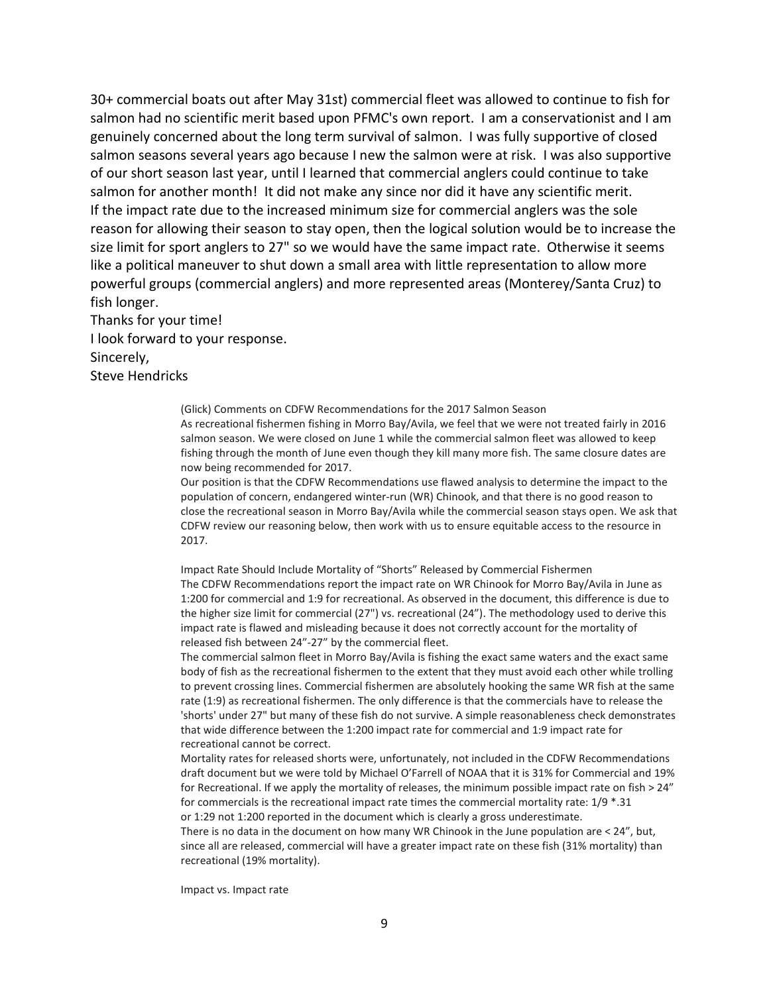30+ commercial boats out after May 31st) commercial fleet was allowed to continue to fish for salmon had no scientific merit based upon PFMC's own report. I am a conservationist and I am genuinely concerned about the long term survival of salmon. I was fully supportive of closed salmon seasons several years ago because I new the salmon were at risk. I was also supportive of our short season last year, until I learned that commercial anglers could continue to take salmon for another month! It did not make any since nor did it have any scientific merit. If the impact rate due to the increased minimum size for commercial anglers was the sole reason for allowing their season to stay open, then the logical solution would be to increase the size limit for sport anglers to 27" so we would have the same impact rate. Otherwise it seems like a political maneuver to shut down a small area with little representation to allow more powerful groups (commercial anglers) and more represented areas (Monterey/Santa Cruz) to fish longer.

Thanks for your time! I look forward to your response. Sincerely, Steve Hendricks

> (Glick) Comments on CDFW Recommendations for the 2017 Salmon Season As recreational fishermen fishing in Morro Bay/Avila, we feel that we were not treated fairly in 2016 salmon season. We were closed on June 1 while the commercial salmon fleet was allowed to keep fishing through the month of June even though they kill many more fish. The same closure dates are now being recommended for 2017.

Our position is that the CDFW Recommendations use flawed analysis to determine the impact to the population of concern, endangered winter-run (WR) Chinook, and that there is no good reason to close the recreational season in Morro Bay/Avila while the commercial season stays open. We ask that CDFW review our reasoning below, then work with us to ensure equitable access to the resource in 2017.

Impact Rate Should Include Mortality of "Shorts" Released by Commercial Fishermen The CDFW Recommendations report the impact rate on WR Chinook for Morro Bay/Avila in June as 1:200 for commercial and 1:9 for recreational. As observed in the document, this difference is due to the higher size limit for commercial (27") vs. recreational (24"). The methodology used to derive this impact rate is flawed and misleading because it does not correctly account for the mortality of released fish between 24"-27" by the commercial fleet.

The commercial salmon fleet in Morro Bay/Avila is fishing the exact same waters and the exact same body of fish as the recreational fishermen to the extent that they must avoid each other while trolling to prevent crossing lines. Commercial fishermen are absolutely hooking the same WR fish at the same rate (1:9) as recreational fishermen. The only difference is that the commercials have to release the 'shorts' under 27" but many of these fish do not survive. A simple reasonableness check demonstrates that wide difference between the 1:200 impact rate for commercial and 1:9 impact rate for recreational cannot be correct.

Mortality rates for released shorts were, unfortunately, not included in the CDFW Recommendations draft document but we were told by Michael O'Farrell of NOAA that it is 31% for Commercial and 19% for Recreational. If we apply the mortality of releases, the minimum possible impact rate on fish > 24" for commercials is the recreational impact rate times the commercial mortality rate: 1/9 \*.31 or 1:29 not 1:200 reported in the document which is clearly a gross underestimate.

There is no data in the document on how many WR Chinook in the June population are < 24", but, since all are released, commercial will have a greater impact rate on these fish (31% mortality) than recreational (19% mortality).

Impact vs. Impact rate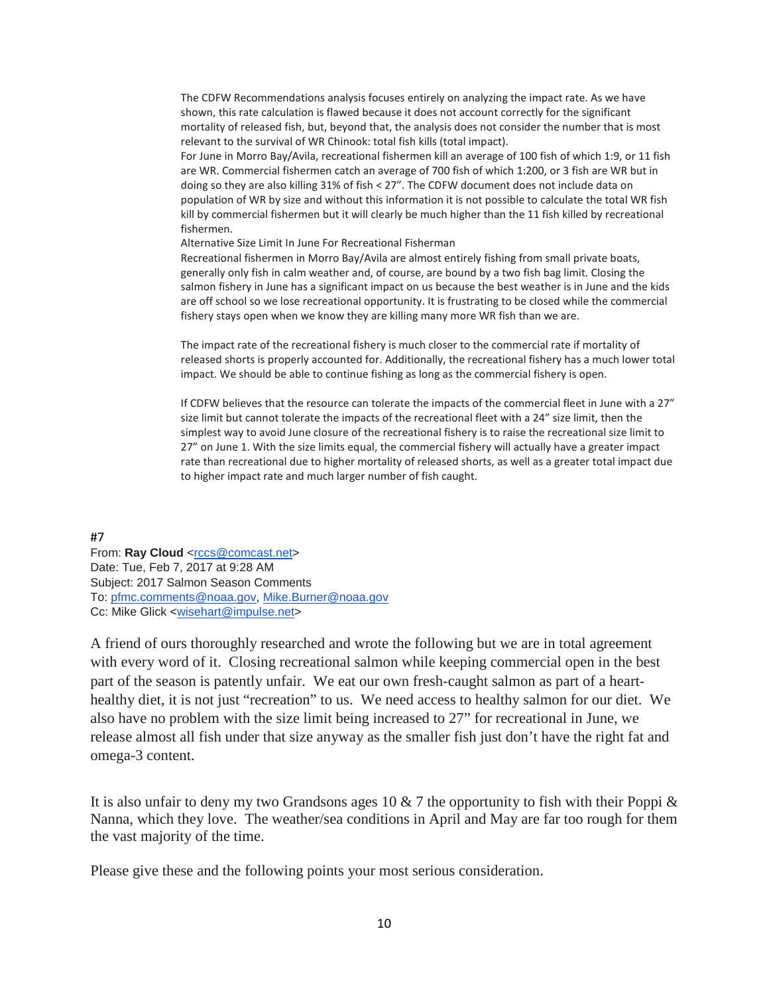The CDFW Recommendations analysis focuses entirely on analyzing the impact rate. As we have shown, this rate calculation is flawed because it does not account correctly for the significant mortality of released fish, but, beyond that, the analysis does not consider the number that is most relevant to the survival of WR Chinook: total fish kills (total impact).

For June in Morro Bay/Avila, recreational fishermen kill an average of 100 fish of which 1:9, or 11 fish are WR. Commercial fishermen catch an average of 700 fish of which 1:200, or 3 fish are WR but in doing so they are also killing 31% of fish < 27". The CDFW document does not include data on population of WR by size and without this information it is not possible to calculate the total WR fish kill by commercial fishermen but it will clearly be much higher than the 11 fish killed by recreational fishermen.

Alternative Size Limit In June For Recreational Fisherman

Recreational fishermen in Morro Bay/Avila are almost entirely fishing from small private boats, generally only fish in calm weather and, of course, are bound by a two fish bag limit. Closing the salmon fishery in June has a significant impact on us because the best weather is in June and the kids are off school so we lose recreational opportunity. It is frustrating to be closed while the commercial fishery stays open when we know they are killing many more WR fish than we are.

The impact rate of the recreational fishery is much closer to the commercial rate if mortality of released shorts is properly accounted for. Additionally, the recreational fishery has a much lower total impact. We should be able to continue fishing as long as the commercial fishery is open.

If CDFW believes that the resource can tolerate the impacts of the commercial fleet in June with a 27" size limit but cannot tolerate the impacts of the recreational fleet with a 24" size limit, then the simplest way to avoid June closure of the recreational fishery is to raise the recreational size limit to 27" on June 1. With the size limits equal, the commercial fishery will actually have a greater impact rate than recreational due to higher mortality of released shorts, as well as a greater total impact due to higher impact rate and much larger number of fish caught.

#7

From: Ray Cloud [<rccs@comcast.net>](mailto:rccs@comcast.net) Date: Tue, Feb 7, 2017 at 9:28 AM Subject: 2017 Salmon Season Comments To: [pfmc.comments@noaa.gov,](mailto:pfmc.comments@noaa.gov) [Mike.Burner@noaa.gov](mailto:Mike.Burner@noaa.gov) Cc: Mike Glick [<wisehart@impulse.net>](mailto:wisehart@impulse.net)

A friend of ours thoroughly researched and wrote the following but we are in total agreement with every word of it. Closing recreational salmon while keeping commercial open in the best part of the season is patently unfair. We eat our own fresh-caught salmon as part of a hearthealthy diet, it is not just "recreation" to us. We need access to healthy salmon for our diet. We also have no problem with the size limit being increased to 27" for recreational in June, we release almost all fish under that size anyway as the smaller fish just don't have the right fat and omega-3 content.

It is also unfair to deny my two Grandsons ages 10  $\&$  7 the opportunity to fish with their Poppi  $\&$ Nanna, which they love. The weather/sea conditions in April and May are far too rough for them the vast majority of the time.

Please give these and the following points your most serious consideration.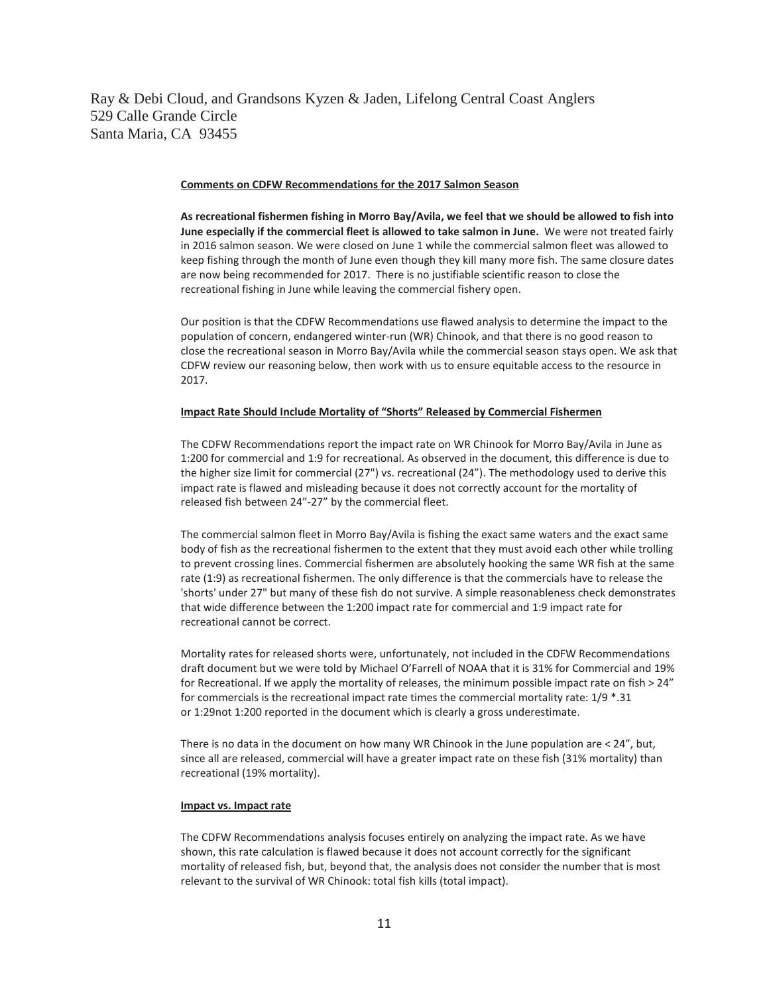Ray & Debi Cloud, and Grandsons Kyzen & Jaden, Lifelong Central Coast Anglers 529 Calle Grande Circle Santa Maria, CA 93455

#### **Comments on CDFW Recommendations for the 2017 Salmon Season**

**As recreational fishermen fishing in Morro Bay/Avila, we feel that we should be allowed to fish into June especially if the commercial fleet is allowed to take salmon in June.** We were not treated fairly in 2016 salmon season. We were closed on June 1 while the commercial salmon fleet was allowed to keep fishing through the month of June even though they kill many more fish. The same closure dates are now being recommended for 2017. There is no justifiable scientific reason to close the recreational fishing in June while leaving the commercial fishery open.

Our position is that the CDFW Recommendations use flawed analysis to determine the impact to the population of concern, endangered winter-run (WR) Chinook, and that there is no good reason to close the recreational season in Morro Bay/Avila while the commercial season stays open. We ask that CDFW review our reasoning below, then work with us to ensure equitable access to the resource in 2017.

### **Impact Rate Should Include Mortality of "Shorts" Released by Commercial Fishermen**

The CDFW Recommendations report the impact rate on WR Chinook for Morro Bay/Avila in June as 1:200 for commercial and 1:9 for recreational. As observed in the document, this difference is due to the higher size limit for commercial (27") vs. recreational (24"). The methodology used to derive this impact rate is flawed and misleading because it does not correctly account for the mortality of released fish between 24"-27" by the commercial fleet.

The commercial salmon fleet in Morro Bay/Avila is fishing the exact same waters and the exact same body of fish as the recreational fishermen to the extent that they must avoid each other while trolling to prevent crossing lines. Commercial fishermen are absolutely hooking the same WR fish at the same rate (1:9) as recreational fishermen. The only difference is that the commercials have to release the 'shorts' under 27" but many of these fish do not survive. A simple reasonableness check demonstrates that wide difference between the 1:200 impact rate for commercial and 1:9 impact rate for recreational cannot be correct.

Mortality rates for released shorts were, unfortunately, not included in the CDFW Recommendations draft document but we were told by Michael O'Farrell of NOAA that it is 31% for Commercial and 19% for Recreational. If we apply the mortality of releases, the minimum possible impact rate on fish > 24" for commercials is the recreational impact rate times the commercial mortality rate: 1/9 \*.31 or 1:29not 1:200 reported in the document which is clearly a gross underestimate.

There is no data in the document on how many WR Chinook in the June population are < 24", but, since all are released, commercial will have a greater impact rate on these fish (31% mortality) than recreational (19% mortality).

#### **Impact vs. Impact rate**

The CDFW Recommendations analysis focuses entirely on analyzing the impact rate. As we have shown, this rate calculation is flawed because it does not account correctly for the significant mortality of released fish, but, beyond that, the analysis does not consider the number that is most relevant to the survival of WR Chinook: total fish kills (total impact).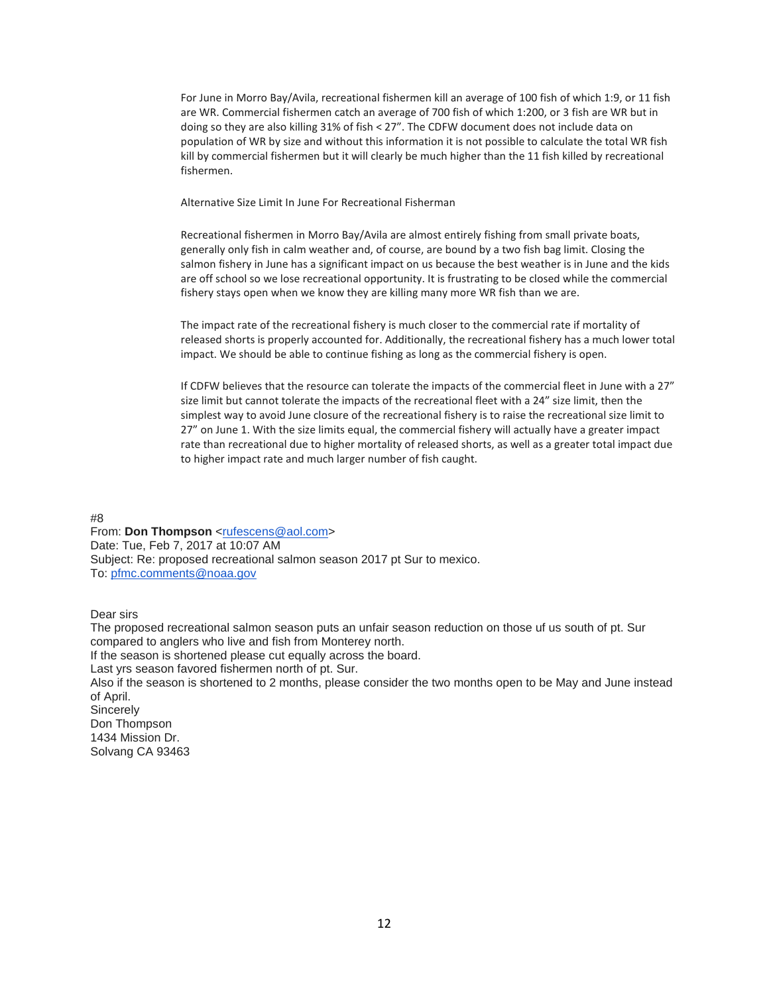For June in Morro Bay/Avila, recreational fishermen kill an average of 100 fish of which 1:9, or 11 fish are WR. Commercial fishermen catch an average of 700 fish of which 1:200, or 3 fish are WR but in doing so they are also killing 31% of fish < 27". The CDFW document does not include data on population of WR by size and without this information it is not possible to calculate the total WR fish kill by commercial fishermen but it will clearly be much higher than the 11 fish killed by recreational fishermen.

Alternative Size Limit In June For Recreational Fisherman

Recreational fishermen in Morro Bay/Avila are almost entirely fishing from small private boats, generally only fish in calm weather and, of course, are bound by a two fish bag limit. Closing the salmon fishery in June has a significant impact on us because the best weather is in June and the kids are off school so we lose recreational opportunity. It is frustrating to be closed while the commercial fishery stays open when we know they are killing many more WR fish than we are.

The impact rate of the recreational fishery is much closer to the commercial rate if mortality of released shorts is properly accounted for. Additionally, the recreational fishery has a much lower total impact. We should be able to continue fishing as long as the commercial fishery is open.

If CDFW believes that the resource can tolerate the impacts of the commercial fleet in June with a 27" size limit but cannot tolerate the impacts of the recreational fleet with a 24" size limit, then the simplest way to avoid June closure of the recreational fishery is to raise the recreational size limit to 27" on June 1. With the size limits equal, the commercial fishery will actually have a greater impact rate than recreational due to higher mortality of released shorts, as well as a greater total impact due to higher impact rate and much larger number of fish caught.

#8

From: Don Thompson [<rufescens@aol.com>](mailto:rufescens@aol.com) Date: Tue, Feb 7, 2017 at 10:07 AM Subject: Re: proposed recreational salmon season 2017 pt Sur to mexico. To: [pfmc.comments@noaa.gov](mailto:pfmc.comments@noaa.gov)

Dear sirs

The proposed recreational salmon season puts an unfair season reduction on those uf us south of pt. Sur compared to anglers who live and fish from Monterey north. If the season is shortened please cut equally across the board. Last yrs season favored fishermen north of pt. Sur. Also if the season is shortened to 2 months, please consider the two months open to be May and June instead of April. **Sincerely** Don Thompson 1434 Mission Dr. Solvang CA 93463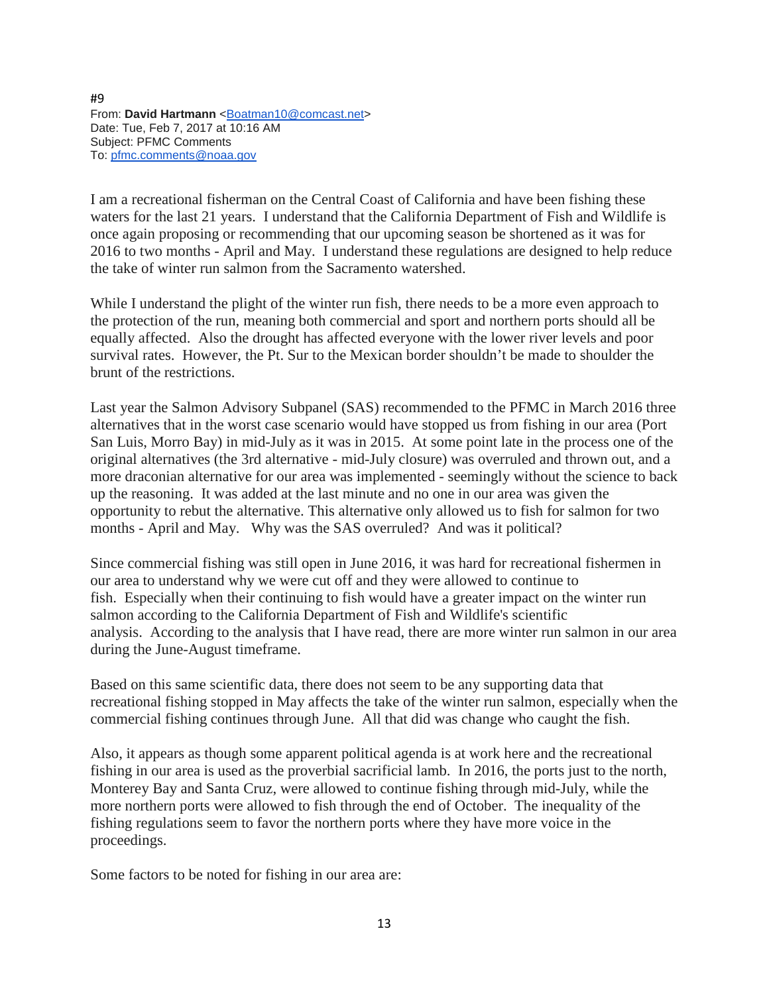#9 From: David Hartmann [<Boatman10@comcast.net>](mailto:Boatman10@comcast.net) Date: Tue, Feb 7, 2017 at 10:16 AM Subject: PFMC Comments To: [pfmc.comments@noaa.gov](mailto:pfmc.comments@noaa.gov)

I am a recreational fisherman on the Central Coast of California and have been fishing these waters for the last 21 years. I understand that the California Department of Fish and Wildlife is once again proposing or recommending that our upcoming season be shortened as it was for 2016 to two months - April and May. I understand these regulations are designed to help reduce the take of winter run salmon from the Sacramento watershed.

While I understand the plight of the winter run fish, there needs to be a more even approach to the protection of the run, meaning both commercial and sport and northern ports should all be equally affected. Also the drought has affected everyone with the lower river levels and poor survival rates. However, the Pt. Sur to the Mexican border shouldn't be made to shoulder the brunt of the restrictions.

Last year the Salmon Advisory Subpanel (SAS) recommended to the PFMC in March 2016 three alternatives that in the worst case scenario would have stopped us from fishing in our area (Port San Luis, Morro Bay) in mid-July as it was in 2015. At some point late in the process one of the original alternatives (the 3rd alternative - mid-July closure) was overruled and thrown out, and a more draconian alternative for our area was implemented - seemingly without the science to back up the reasoning. It was added at the last minute and no one in our area was given the opportunity to rebut the alternative. This alternative only allowed us to fish for salmon for two months - April and May. Why was the SAS overruled? And was it political?

Since commercial fishing was still open in June 2016, it was hard for recreational fishermen in our area to understand why we were cut off and they were allowed to continue to fish. Especially when their continuing to fish would have a greater impact on the winter run salmon according to the California Department of Fish and Wildlife's scientific analysis. According to the analysis that I have read, there are more winter run salmon in our area during the June-August timeframe.

Based on this same scientific data, there does not seem to be any supporting data that recreational fishing stopped in May affects the take of the winter run salmon, especially when the commercial fishing continues through June. All that did was change who caught the fish.

Also, it appears as though some apparent political agenda is at work here and the recreational fishing in our area is used as the proverbial sacrificial lamb. In 2016, the ports just to the north, Monterey Bay and Santa Cruz, were allowed to continue fishing through mid-July, while the more northern ports were allowed to fish through the end of October. The inequality of the fishing regulations seem to favor the northern ports where they have more voice in the proceedings.

Some factors to be noted for fishing in our area are: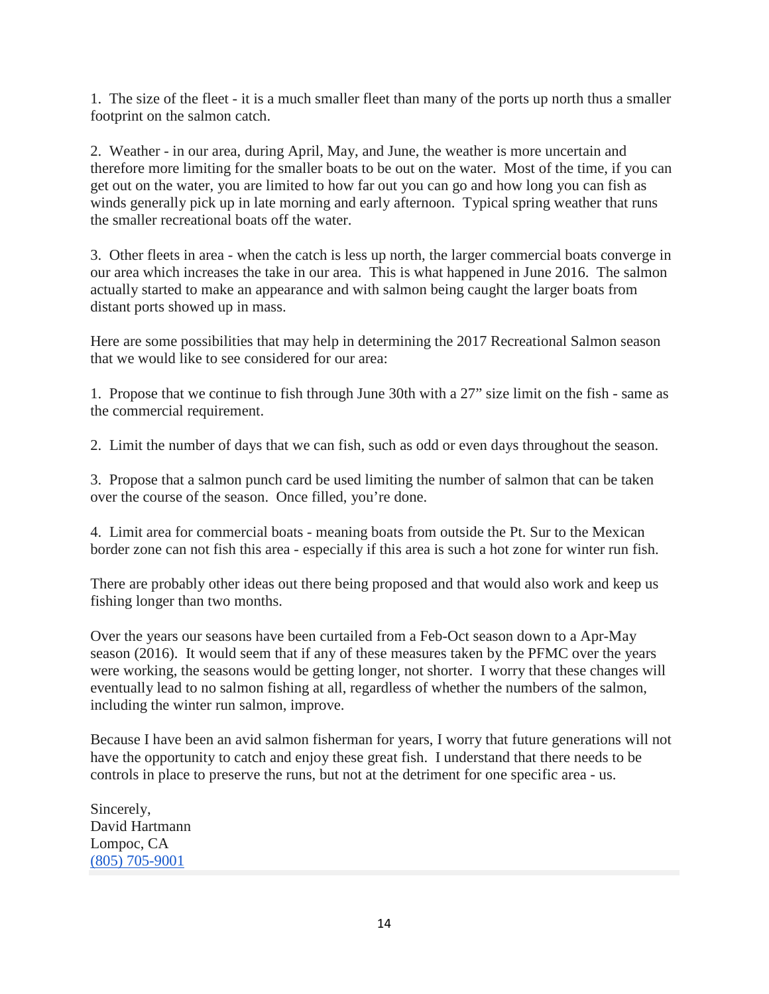1. The size of the fleet - it is a much smaller fleet than many of the ports up north thus a smaller footprint on the salmon catch.

2. Weather - in our area, during April, May, and June, the weather is more uncertain and therefore more limiting for the smaller boats to be out on the water. Most of the time, if you can get out on the water, you are limited to how far out you can go and how long you can fish as winds generally pick up in late morning and early afternoon. Typical spring weather that runs the smaller recreational boats off the water.

3. Other fleets in area - when the catch is less up north, the larger commercial boats converge in our area which increases the take in our area. This is what happened in June 2016. The salmon actually started to make an appearance and with salmon being caught the larger boats from distant ports showed up in mass.

Here are some possibilities that may help in determining the 2017 Recreational Salmon season that we would like to see considered for our area:

1. Propose that we continue to fish through June 30th with a 27" size limit on the fish - same as the commercial requirement.

2. Limit the number of days that we can fish, such as odd or even days throughout the season.

3. Propose that a salmon punch card be used limiting the number of salmon that can be taken over the course of the season. Once filled, you're done.

4. Limit area for commercial boats - meaning boats from outside the Pt. Sur to the Mexican border zone can not fish this area - especially if this area is such a hot zone for winter run fish.

There are probably other ideas out there being proposed and that would also work and keep us fishing longer than two months.

Over the years our seasons have been curtailed from a Feb-Oct season down to a Apr-May season (2016). It would seem that if any of these measures taken by the PFMC over the years were working, the seasons would be getting longer, not shorter. I worry that these changes will eventually lead to no salmon fishing at all, regardless of whether the numbers of the salmon, including the winter run salmon, improve.

Because I have been an avid salmon fisherman for years, I worry that future generations will not have the opportunity to catch and enjoy these great fish. I understand that there needs to be controls in place to preserve the runs, but not at the detriment for one specific area - us.

Sincerely, David Hartmann Lompoc, CA [\(805\) 705-9001](tel:(805)%20705-9001)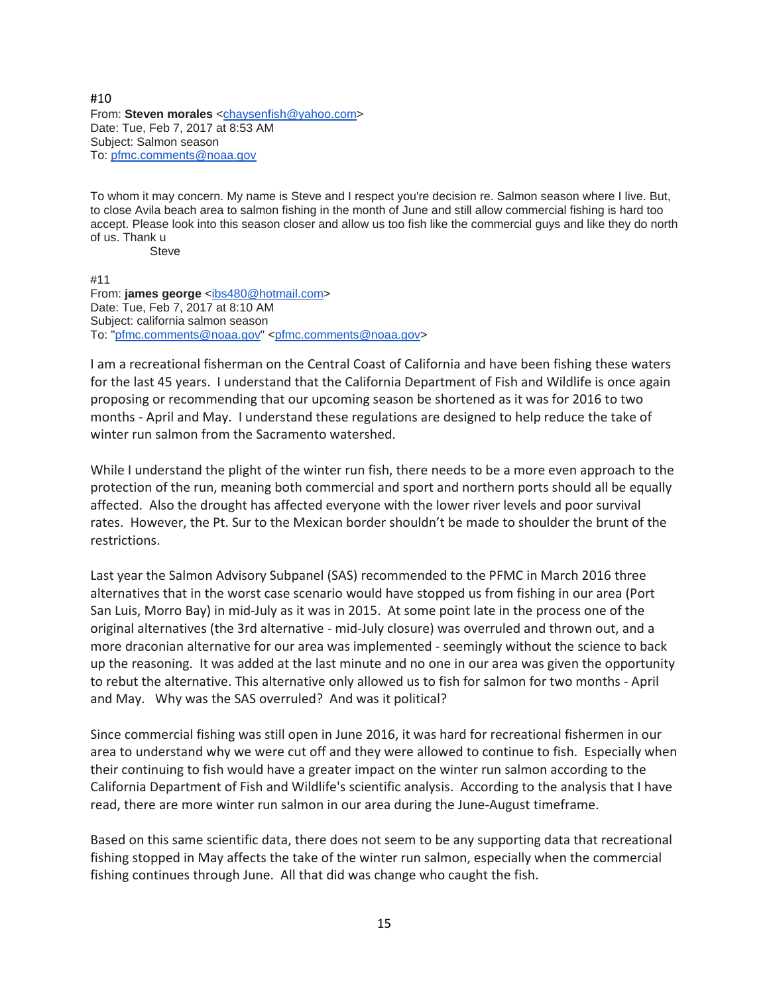#10 From: **Steven morales** [<chaysenfish@yahoo.com>](mailto:chaysenfish@yahoo.com) Date: Tue, Feb 7, 2017 at 8:53 AM Subject: Salmon season To: [pfmc.comments@noaa.gov](mailto:pfmc.comments@noaa.gov)

To whom it may concern. My name is Steve and I respect you're decision re. Salmon season where I live. But, to close Avila beach area to salmon fishing in the month of June and still allow commercial fishing is hard too accept. Please look into this season closer and allow us too fish like the commercial guys and like they do north of us. Thank u

**Steve** 

#11 From: **james george** [<ibs480@hotmail.com>](mailto:ibs480@hotmail.com) Date: Tue, Feb 7, 2017 at 8:10 AM Subject: california salmon season To: ["pfmc.comments@noaa.gov"](mailto:pfmc.comments@noaa.gov) [<pfmc.comments@noaa.gov>](mailto:pfmc.comments@noaa.gov)

I am a recreational fisherman on the Central Coast of California and have been fishing these waters for the last 45 years. I understand that the California Department of Fish and Wildlife is once again proposing or recommending that our upcoming season be shortened as it was for 2016 to two months - April and May. I understand these regulations are designed to help reduce the take of winter run salmon from the Sacramento watershed.

While I understand the plight of the winter run fish, there needs to be a more even approach to the protection of the run, meaning both commercial and sport and northern ports should all be equally affected. Also the drought has affected everyone with the lower river levels and poor survival rates. However, the Pt. Sur to the Mexican border shouldn't be made to shoulder the brunt of the restrictions.

Last year the Salmon Advisory Subpanel (SAS) recommended to the PFMC in March 2016 three alternatives that in the worst case scenario would have stopped us from fishing in our area (Port San Luis, Morro Bay) in mid-July as it was in 2015. At some point late in the process one of the original alternatives (the 3rd alternative - mid-July closure) was overruled and thrown out, and a more draconian alternative for our area was implemented - seemingly without the science to back up the reasoning. It was added at the last minute and no one in our area was given the opportunity to rebut the alternative. This alternative only allowed us to fish for salmon for two months - April and May. Why was the SAS overruled? And was it political?

Since commercial fishing was still open in June 2016, it was hard for recreational fishermen in our area to understand why we were cut off and they were allowed to continue to fish. Especially when their continuing to fish would have a greater impact on the winter run salmon according to the California Department of Fish and Wildlife's scientific analysis. According to the analysis that I have read, there are more winter run salmon in our area during the June-August timeframe.

Based on this same scientific data, there does not seem to be any supporting data that recreational fishing stopped in May affects the take of the winter run salmon, especially when the commercial fishing continues through June. All that did was change who caught the fish.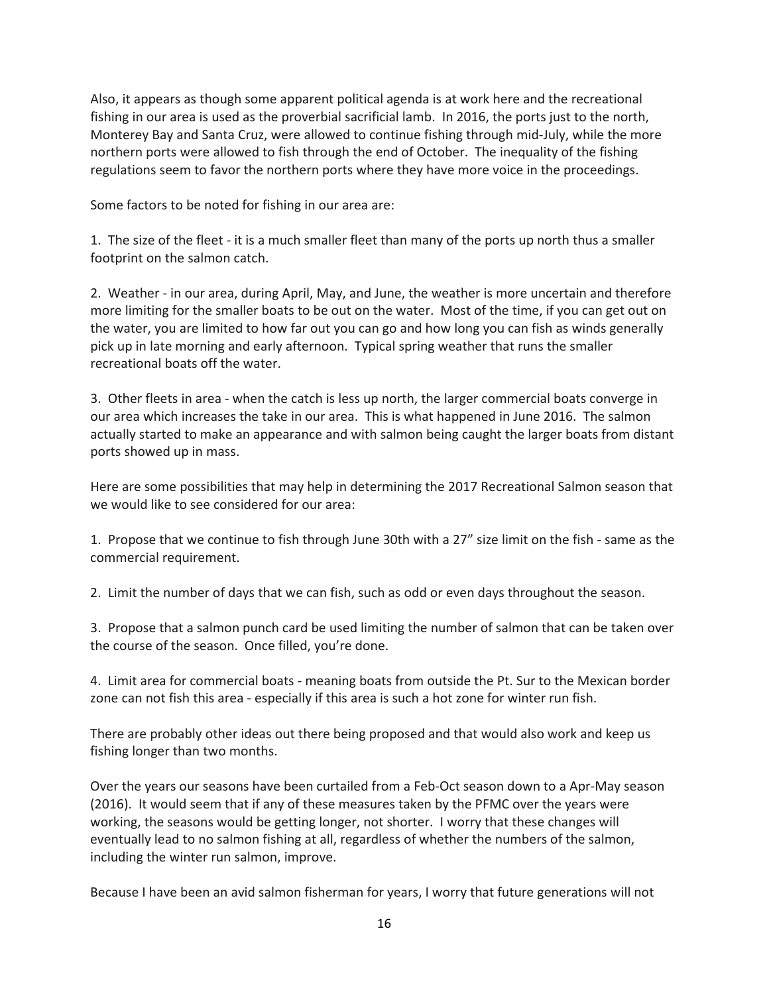Also, it appears as though some apparent political agenda is at work here and the recreational fishing in our area is used as the proverbial sacrificial lamb. In 2016, the ports just to the north, Monterey Bay and Santa Cruz, were allowed to continue fishing through mid-July, while the more northern ports were allowed to fish through the end of October. The inequality of the fishing regulations seem to favor the northern ports where they have more voice in the proceedings.

Some factors to be noted for fishing in our area are:

1. The size of the fleet - it is a much smaller fleet than many of the ports up north thus a smaller footprint on the salmon catch.

2. Weather - in our area, during April, May, and June, the weather is more uncertain and therefore more limiting for the smaller boats to be out on the water. Most of the time, if you can get out on the water, you are limited to how far out you can go and how long you can fish as winds generally pick up in late morning and early afternoon. Typical spring weather that runs the smaller recreational boats off the water.

3. Other fleets in area - when the catch is less up north, the larger commercial boats converge in our area which increases the take in our area. This is what happened in June 2016. The salmon actually started to make an appearance and with salmon being caught the larger boats from distant ports showed up in mass.

Here are some possibilities that may help in determining the 2017 Recreational Salmon season that we would like to see considered for our area:

1. Propose that we continue to fish through June 30th with a 27" size limit on the fish - same as the commercial requirement.

2. Limit the number of days that we can fish, such as odd or even days throughout the season.

3. Propose that a salmon punch card be used limiting the number of salmon that can be taken over the course of the season. Once filled, you're done.

4. Limit area for commercial boats - meaning boats from outside the Pt. Sur to the Mexican border zone can not fish this area - especially if this area is such a hot zone for winter run fish.

There are probably other ideas out there being proposed and that would also work and keep us fishing longer than two months.

Over the years our seasons have been curtailed from a Feb-Oct season down to a Apr-May season (2016). It would seem that if any of these measures taken by the PFMC over the years were working, the seasons would be getting longer, not shorter. I worry that these changes will eventually lead to no salmon fishing at all, regardless of whether the numbers of the salmon, including the winter run salmon, improve.

Because I have been an avid salmon fisherman for years, I worry that future generations will not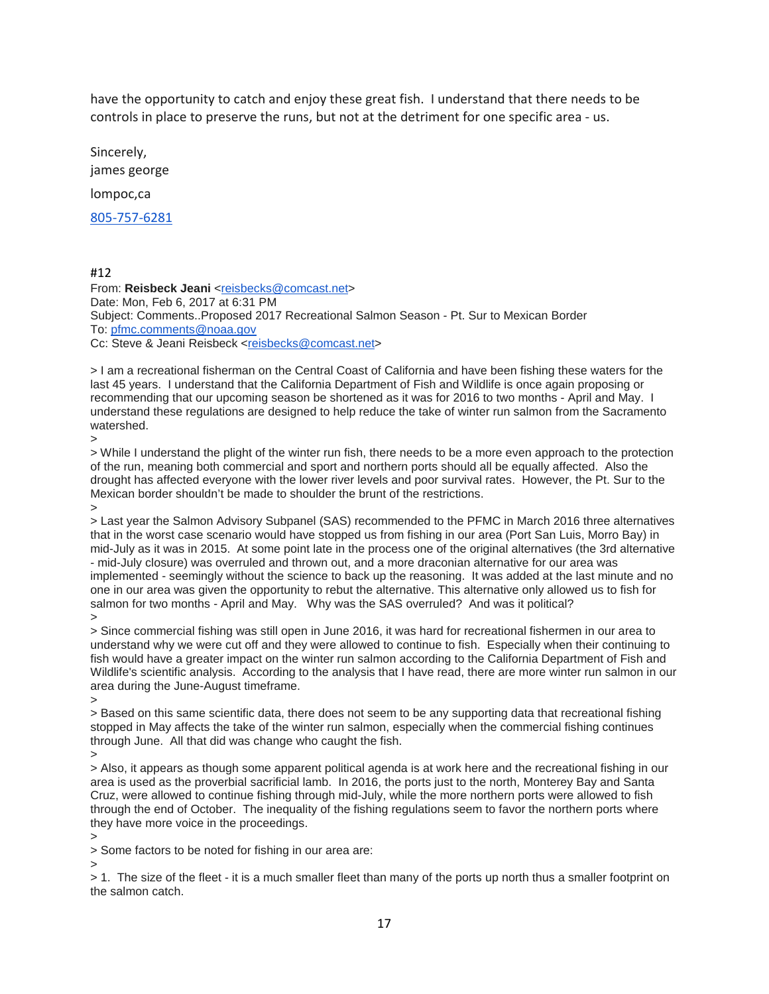have the opportunity to catch and enjoy these great fish. I understand that there needs to be controls in place to preserve the runs, but not at the detriment for one specific area - us.

Sincerely, james george lompoc,ca [805-757-6281](tel:(805)%20757-6281)

#12

From: Reisbeck Jeani [<reisbecks@comcast.net>](mailto:reisbecks@comcast.net) Date: Mon, Feb 6, 2017 at 6:31 PM Subject: Comments..Proposed 2017 Recreational Salmon Season - Pt. Sur to Mexican Border To: [pfmc.comments@noaa.gov](mailto:pfmc.comments@noaa.gov) Cc: Steve & Jeani Reisbeck [<reisbecks@comcast.net>](mailto:reisbecks@comcast.net)

> I am a recreational fisherman on the Central Coast of California and have been fishing these waters for the last 45 years. I understand that the California Department of Fish and Wildlife is once again proposing or recommending that our upcoming season be shortened as it was for 2016 to two months - April and May. I understand these regulations are designed to help reduce the take of winter run salmon from the Sacramento watershed.

 $\overline{\phantom{0}}$ 

> While I understand the plight of the winter run fish, there needs to be a more even approach to the protection of the run, meaning both commercial and sport and northern ports should all be equally affected. Also the drought has affected everyone with the lower river levels and poor survival rates. However, the Pt. Sur to the Mexican border shouldn't be made to shoulder the brunt of the restrictions. >

> Last year the Salmon Advisory Subpanel (SAS) recommended to the PFMC in March 2016 three alternatives that in the worst case scenario would have stopped us from fishing in our area (Port San Luis, Morro Bay) in mid-July as it was in 2015. At some point late in the process one of the original alternatives (the 3rd alternative - mid-July closure) was overruled and thrown out, and a more draconian alternative for our area was implemented - seemingly without the science to back up the reasoning. It was added at the last minute and no one in our area was given the opportunity to rebut the alternative. This alternative only allowed us to fish for salmon for two months - April and May. Why was the SAS overruled? And was it political? >

> Since commercial fishing was still open in June 2016, it was hard for recreational fishermen in our area to understand why we were cut off and they were allowed to continue to fish. Especially when their continuing to fish would have a greater impact on the winter run salmon according to the California Department of Fish and Wildlife's scientific analysis. According to the analysis that I have read, there are more winter run salmon in our area during the June-August timeframe.

>

> Based on this same scientific data, there does not seem to be any supporting data that recreational fishing stopped in May affects the take of the winter run salmon, especially when the commercial fishing continues through June. All that did was change who caught the fish.

>

> Also, it appears as though some apparent political agenda is at work here and the recreational fishing in our area is used as the proverbial sacrificial lamb. In 2016, the ports just to the north, Monterey Bay and Santa Cruz, were allowed to continue fishing through mid-July, while the more northern ports were allowed to fish through the end of October. The inequality of the fishing regulations seem to favor the northern ports where they have more voice in the proceedings.

>

> Some factors to be noted for fishing in our area are:

>

> 1. The size of the fleet - it is a much smaller fleet than many of the ports up north thus a smaller footprint on the salmon catch.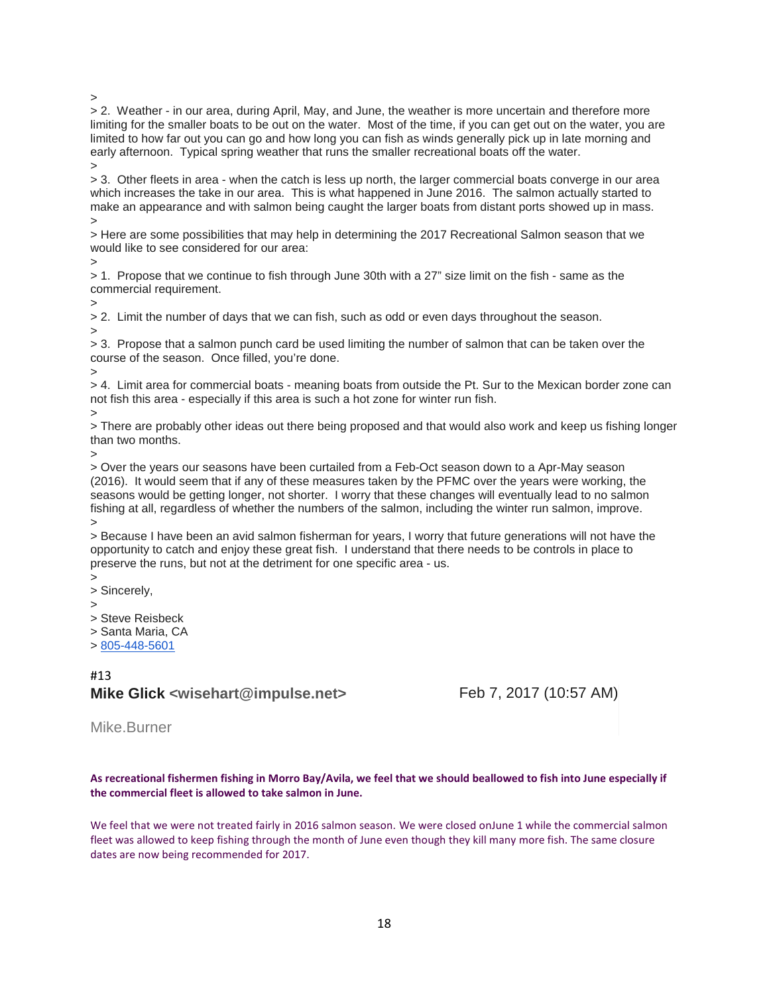>

> 2. Weather - in our area, during April, May, and June, the weather is more uncertain and therefore more limiting for the smaller boats to be out on the water. Most of the time, if you can get out on the water, you are limited to how far out you can go and how long you can fish as winds generally pick up in late morning and early afternoon. Typical spring weather that runs the smaller recreational boats off the water.

> > 3. Other fleets in area - when the catch is less up north, the larger commercial boats converge in our area which increases the take in our area. This is what happened in June 2016. The salmon actually started to make an appearance and with salmon being caught the larger boats from distant ports showed up in mass. >

> Here are some possibilities that may help in determining the 2017 Recreational Salmon season that we would like to see considered for our area:

>

> 1. Propose that we continue to fish through June 30th with a 27" size limit on the fish - same as the commercial requirement.

>

> 2. Limit the number of days that we can fish, such as odd or even days throughout the season. >

> 3. Propose that a salmon punch card be used limiting the number of salmon that can be taken over the course of the season. Once filled, you're done.

>

> 4. Limit area for commercial boats - meaning boats from outside the Pt. Sur to the Mexican border zone can not fish this area - especially if this area is such a hot zone for winter run fish.

>

> There are probably other ideas out there being proposed and that would also work and keep us fishing longer than two months.

>

> Over the years our seasons have been curtailed from a Feb-Oct season down to a Apr-May season (2016). It would seem that if any of these measures taken by the PFMC over the years were working, the seasons would be getting longer, not shorter. I worry that these changes will eventually lead to no salmon fishing at all, regardless of whether the numbers of the salmon, including the winter run salmon, improve. >

> Because I have been an avid salmon fisherman for years, I worry that future generations will not have the opportunity to catch and enjoy these great fish. I understand that there needs to be controls in place to preserve the runs, but not at the detriment for one specific area - us.

>

> Sincerely,

>

> Steve Reisbeck

> Santa Maria, CA

> [805-448-5601](tel:(805)%20448-5601)

# #13 **Mike Glick** <wisehart@impulse.net> Feb 7, 2017 (10:57 AM)

Mike.Burner

## **As recreational fishermen fishing in Morro Bay/Avila, we feel that we should beallowed to fish into June especially if the commercial fleet is allowed to take salmon in June.**

We feel that we were not treated fairly in 2016 salmon season. We were closed onJune 1 while the commercial salmon fleet was allowed to keep fishing through the month of June even though they kill many more fish. The same closure dates are now being recommended for 2017.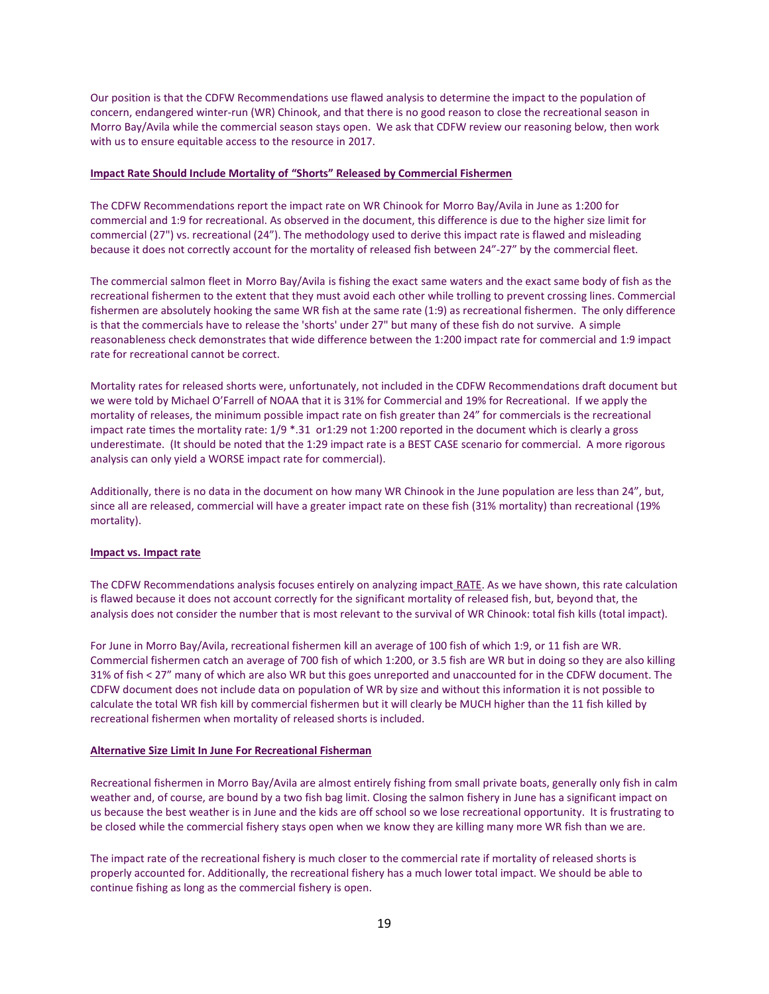Our position is that the CDFW Recommendations use flawed analysis to determine the impact to the population of concern, endangered winter-run (WR) Chinook, and that there is no good reason to close the recreational season in Morro Bay/Avila while the commercial season stays open. We ask that CDFW review our reasoning below, then work with us to ensure equitable access to the resource in 2017.

### **Impact Rate Should Include Mortality of "Shorts" Released by Commercial Fishermen**

The CDFW Recommendations report the impact rate on WR Chinook for Morro Bay/Avila in June as 1:200 for commercial and 1:9 for recreational. As observed in the document, this difference is due to the higher size limit for commercial (27") vs. recreational (24"). The methodology used to derive this impact rate is flawed and misleading because it does not correctly account for the mortality of released fish between 24"-27" by the commercial fleet.

The commercial salmon fleet in Morro Bay/Avila is fishing the exact same waters and the exact same body of fish as the recreational fishermen to the extent that they must avoid each other while trolling to prevent crossing lines. Commercial fishermen are absolutely hooking the same WR fish at the same rate (1:9) as recreational fishermen. The only difference is that the commercials have to release the 'shorts' under 27" but many of these fish do not survive. A simple reasonableness check demonstrates that wide difference between the 1:200 impact rate for commercial and 1:9 impact rate for recreational cannot be correct.

Mortality rates for released shorts were, unfortunately, not included in the CDFW Recommendations draft document but we were told by Michael O'Farrell of NOAA that it is 31% for Commercial and 19% for Recreational. If we apply the mortality of releases, the minimum possible impact rate on fish greater than 24" for commercials is the recreational impact rate times the mortality rate: 1/9 \*.31 or1:29 not 1:200 reported in the document which is clearly a gross underestimate. (It should be noted that the 1:29 impact rate is a BEST CASE scenario for commercial. A more rigorous analysis can only yield a WORSE impact rate for commercial).

Additionally, there is no data in the document on how many WR Chinook in the June population are less than 24", but, since all are released, commercial will have a greater impact rate on these fish (31% mortality) than recreational (19% mortality).

#### **Impact vs. Impact rate**

The CDFW Recommendations analysis focuses entirely on analyzing impact RATE. As we have shown, this rate calculation is flawed because it does not account correctly for the significant mortality of released fish, but, beyond that, the analysis does not consider the number that is most relevant to the survival of WR Chinook: total fish kills (total impact).

For June in Morro Bay/Avila, recreational fishermen kill an average of 100 fish of which 1:9, or 11 fish are WR. Commercial fishermen catch an average of 700 fish of which 1:200, or 3.5 fish are WR but in doing so they are also killing 31% of fish < 27" many of which are also WR but this goes unreported and unaccounted for in the CDFW document. The CDFW document does not include data on population of WR by size and without this information it is not possible to calculate the total WR fish kill by commercial fishermen but it will clearly be MUCH higher than the 11 fish killed by recreational fishermen when mortality of released shorts is included.

#### **Alternative Size Limit In June For Recreational Fisherman**

Recreational fishermen in Morro Bay/Avila are almost entirely fishing from small private boats, generally only fish in calm weather and, of course, are bound by a two fish bag limit. Closing the salmon fishery in June has a significant impact on us because the best weather is in June and the kids are off school so we lose recreational opportunity. It is frustrating to be closed while the commercial fishery stays open when we know they are killing many more WR fish than we are.

The impact rate of the recreational fishery is much closer to the commercial rate if mortality of released shorts is properly accounted for. Additionally, the recreational fishery has a much lower total impact. We should be able to continue fishing as long as the commercial fishery is open.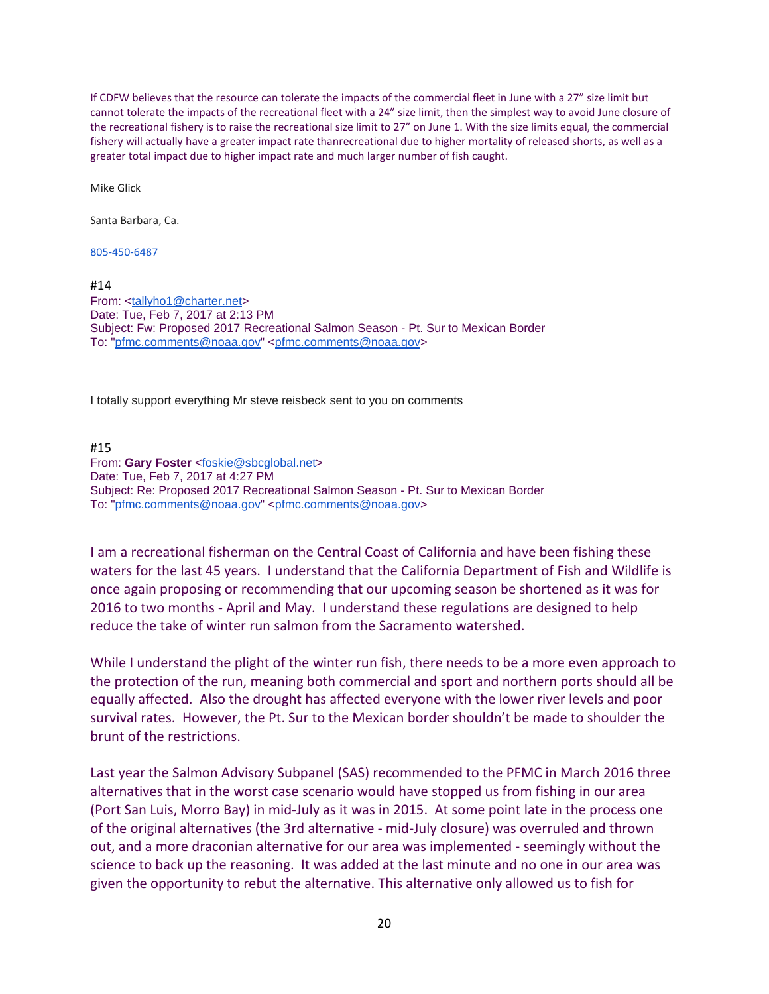If CDFW believes that the resource can tolerate the impacts of the commercial fleet in June with a 27" size limit but cannot tolerate the impacts of the recreational fleet with a 24" size limit, then the simplest way to avoid June closure of the recreational fishery is to raise the recreational size limit to 27" on June 1. With the size limits equal, the commercial fishery will actually have a greater impact rate thanrecreational due to higher mortality of released shorts, as well as a greater total impact due to higher impact rate and much larger number of fish caught.

Mike Glick

Santa Barbara, Ca.

[805-450-6487](tel:(805)%20450-6487)

#14

From: [<tallyho1@charter.net>](mailto:tallyho1@charter.net) Date: Tue, Feb 7, 2017 at 2:13 PM Subject: Fw: Proposed 2017 Recreational Salmon Season - Pt. Sur to Mexican Border To: ["pfmc.comments@noaa.gov"](mailto:pfmc.comments@noaa.gov) [<pfmc.comments@noaa.gov>](mailto:pfmc.comments@noaa.gov)

I totally support everything Mr steve reisbeck sent to you on comments

#15 From: **Gary Foster** [<foskie@sbcglobal.net>](mailto:foskie@sbcglobal.net) Date: Tue, Feb 7, 2017 at 4:27 PM Subject: Re: Proposed 2017 Recreational Salmon Season - Pt. Sur to Mexican Border To: ["pfmc.comments@noaa.gov"](mailto:pfmc.comments@noaa.gov) [<pfmc.comments@noaa.gov>](mailto:pfmc.comments@noaa.gov)

I am a recreational fisherman on the Central Coast of California and have been fishing these waters for the last 45 years. I understand that the California Department of Fish and Wildlife is once again proposing or recommending that our upcoming season be shortened as it was for 2016 to two months - April and May. I understand these regulations are designed to help reduce the take of winter run salmon from the Sacramento watershed.

While I understand the plight of the winter run fish, there needs to be a more even approach to the protection of the run, meaning both commercial and sport and northern ports should all be equally affected. Also the drought has affected everyone with the lower river levels and poor survival rates. However, the Pt. Sur to the Mexican border shouldn't be made to shoulder the brunt of the restrictions.

Last year the Salmon Advisory Subpanel (SAS) recommended to the PFMC in March 2016 three alternatives that in the worst case scenario would have stopped us from fishing in our area (Port San Luis, Morro Bay) in mid-July as it was in 2015. At some point late in the process one of the original alternatives (the 3rd alternative - mid-July closure) was overruled and thrown out, and a more draconian alternative for our area was implemented - seemingly without the science to back up the reasoning. It was added at the last minute and no one in our area was given the opportunity to rebut the alternative. This alternative only allowed us to fish for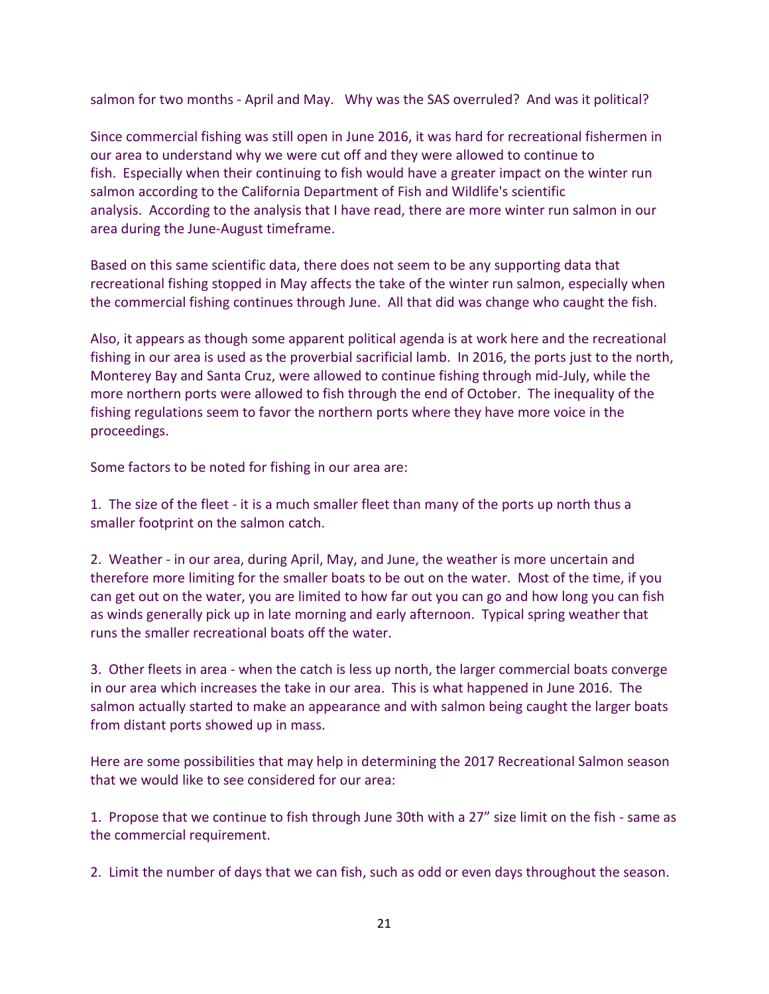salmon for two months - April and May. Why was the SAS overruled? And was it political?

Since commercial fishing was still open in June 2016, it was hard for recreational fishermen in our area to understand why we were cut off and they were allowed to continue to fish. Especially when their continuing to fish would have a greater impact on the winter run salmon according to the California Department of Fish and Wildlife's scientific analysis. According to the analysis that I have read, there are more winter run salmon in our area during the June-August timeframe.

Based on this same scientific data, there does not seem to be any supporting data that recreational fishing stopped in May affects the take of the winter run salmon, especially when the commercial fishing continues through June. All that did was change who caught the fish.

Also, it appears as though some apparent political agenda is at work here and the recreational fishing in our area is used as the proverbial sacrificial lamb. In 2016, the ports just to the north, Monterey Bay and Santa Cruz, were allowed to continue fishing through mid-July, while the more northern ports were allowed to fish through the end of October. The inequality of the fishing regulations seem to favor the northern ports where they have more voice in the proceedings.

Some factors to be noted for fishing in our area are:

1. The size of the fleet - it is a much smaller fleet than many of the ports up north thus a smaller footprint on the salmon catch.

2. Weather - in our area, during April, May, and June, the weather is more uncertain and therefore more limiting for the smaller boats to be out on the water. Most of the time, if you can get out on the water, you are limited to how far out you can go and how long you can fish as winds generally pick up in late morning and early afternoon. Typical spring weather that runs the smaller recreational boats off the water.

3. Other fleets in area - when the catch is less up north, the larger commercial boats converge in our area which increases the take in our area. This is what happened in June 2016. The salmon actually started to make an appearance and with salmon being caught the larger boats from distant ports showed up in mass.

Here are some possibilities that may help in determining the 2017 Recreational Salmon season that we would like to see considered for our area:

1. Propose that we continue to fish through June 30th with a 27" size limit on the fish - same as the commercial requirement.

2. Limit the number of days that we can fish, such as odd or even days throughout the season.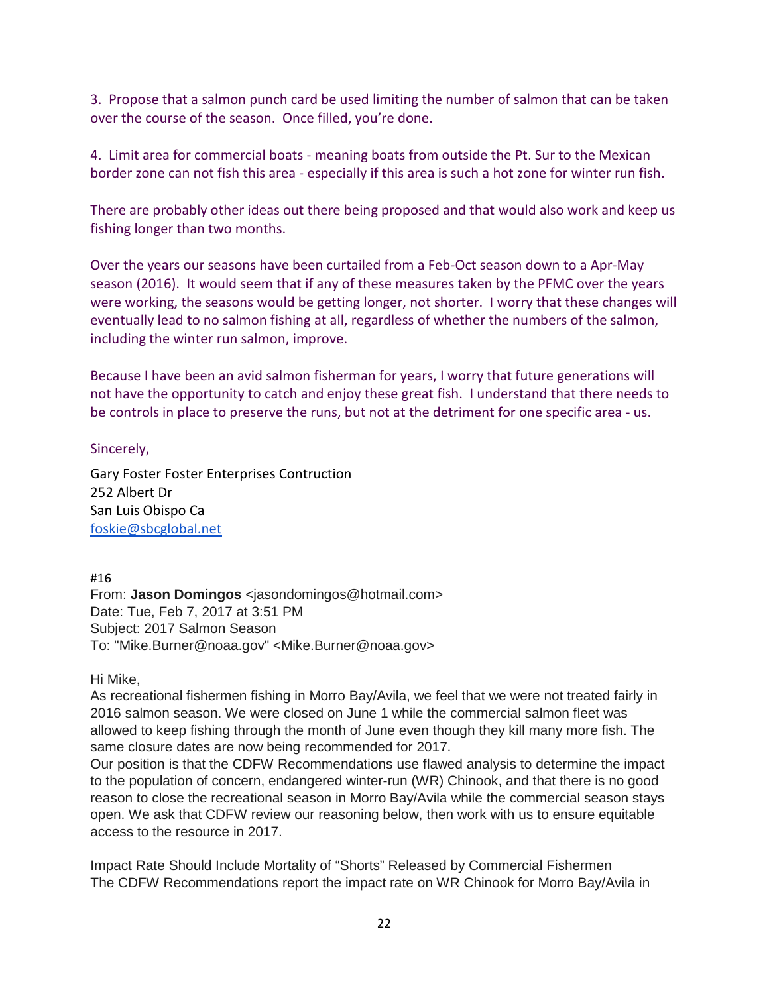3. Propose that a salmon punch card be used limiting the number of salmon that can be taken over the course of the season. Once filled, you're done.

4. Limit area for commercial boats - meaning boats from outside the Pt. Sur to the Mexican border zone can not fish this area - especially if this area is such a hot zone for winter run fish.

There are probably other ideas out there being proposed and that would also work and keep us fishing longer than two months.

Over the years our seasons have been curtailed from a Feb-Oct season down to a Apr-May season (2016). It would seem that if any of these measures taken by the PFMC over the years were working, the seasons would be getting longer, not shorter. I worry that these changes will eventually lead to no salmon fishing at all, regardless of whether the numbers of the salmon, including the winter run salmon, improve.

Because I have been an avid salmon fisherman for years, I worry that future generations will not have the opportunity to catch and enjoy these great fish. I understand that there needs to be controls in place to preserve the runs, but not at the detriment for one specific area - us.

Sincerely,

Gary Foster Foster Enterprises Contruction 252 Albert Dr San Luis Obispo Ca [foskie@sbcglobal.net](mailto:foskie@sbcglobal.net)

#16

From: **Jason Domingos** <jasondomingos@hotmail.com> Date: Tue, Feb 7, 2017 at 3:51 PM Subject: 2017 Salmon Season To: "Mike.Burner@noaa.gov" <Mike.Burner@noaa.gov>

Hi Mike,

As recreational fishermen fishing in Morro Bay/Avila, we feel that we were not treated fairly in 2016 salmon season. We were closed on June 1 while the commercial salmon fleet was allowed to keep fishing through the month of June even though they kill many more fish. The same closure dates are now being recommended for 2017.

Our position is that the CDFW Recommendations use flawed analysis to determine the impact to the population of concern, endangered winter-run (WR) Chinook, and that there is no good reason to close the recreational season in Morro Bay/Avila while the commercial season stays open. We ask that CDFW review our reasoning below, then work with us to ensure equitable access to the resource in 2017.

Impact Rate Should Include Mortality of "Shorts" Released by Commercial Fishermen The CDFW Recommendations report the impact rate on WR Chinook for Morro Bay/Avila in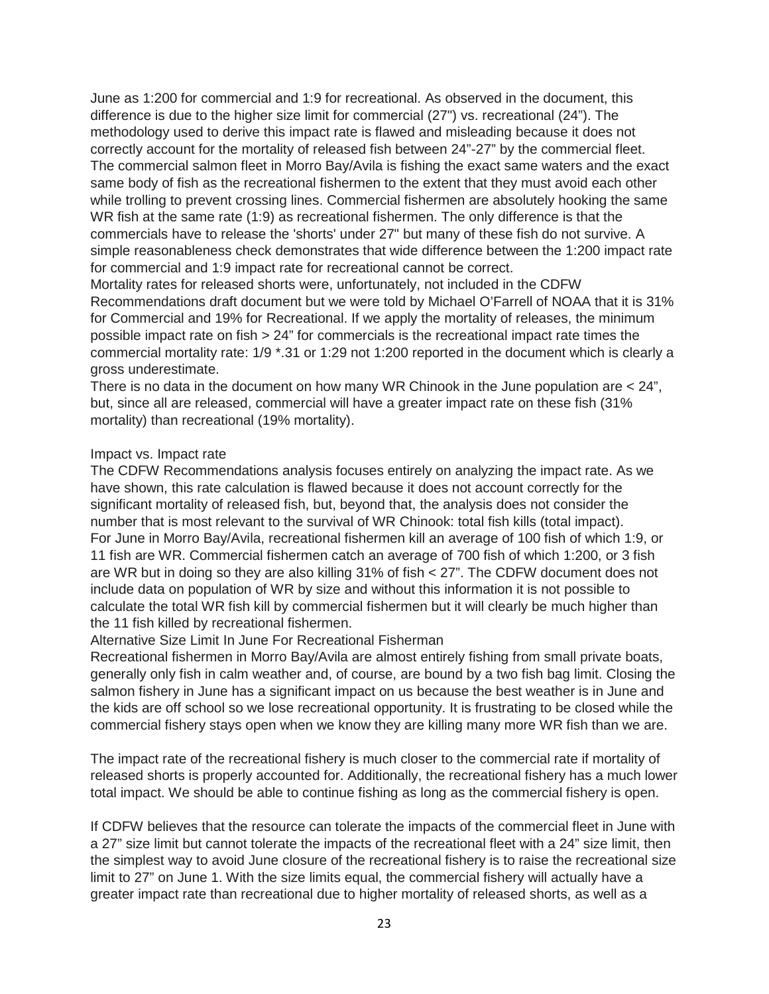June as 1:200 for commercial and 1:9 for recreational. As observed in the document, this difference is due to the higher size limit for commercial (27") vs. recreational (24"). The methodology used to derive this impact rate is flawed and misleading because it does not correctly account for the mortality of released fish between 24"-27" by the commercial fleet. The commercial salmon fleet in Morro Bay/Avila is fishing the exact same waters and the exact same body of fish as the recreational fishermen to the extent that they must avoid each other while trolling to prevent crossing lines. Commercial fishermen are absolutely hooking the same WR fish at the same rate (1:9) as recreational fishermen. The only difference is that the commercials have to release the 'shorts' under 27" but many of these fish do not survive. A simple reasonableness check demonstrates that wide difference between the 1:200 impact rate for commercial and 1:9 impact rate for recreational cannot be correct.

Mortality rates for released shorts were, unfortunately, not included in the CDFW Recommendations draft document but we were told by Michael O'Farrell of NOAA that it is 31% for Commercial and 19% for Recreational. If we apply the mortality of releases, the minimum possible impact rate on fish > 24" for commercials is the recreational impact rate times the commercial mortality rate: 1/9 \*.31 or 1:29 not 1:200 reported in the document which is clearly a gross underestimate.

There is no data in the document on how many WR Chinook in the June population are < 24", but, since all are released, commercial will have a greater impact rate on these fish (31% mortality) than recreational (19% mortality).

## Impact vs. Impact rate

The CDFW Recommendations analysis focuses entirely on analyzing the impact rate. As we have shown, this rate calculation is flawed because it does not account correctly for the significant mortality of released fish, but, beyond that, the analysis does not consider the number that is most relevant to the survival of WR Chinook: total fish kills (total impact). For June in Morro Bay/Avila, recreational fishermen kill an average of 100 fish of which 1:9, or 11 fish are WR. Commercial fishermen catch an average of 700 fish of which 1:200, or 3 fish are WR but in doing so they are also killing 31% of fish < 27". The CDFW document does not include data on population of WR by size and without this information it is not possible to calculate the total WR fish kill by commercial fishermen but it will clearly be much higher than the 11 fish killed by recreational fishermen.

## Alternative Size Limit In June For Recreational Fisherman

Recreational fishermen in Morro Bay/Avila are almost entirely fishing from small private boats, generally only fish in calm weather and, of course, are bound by a two fish bag limit. Closing the salmon fishery in June has a significant impact on us because the best weather is in June and the kids are off school so we lose recreational opportunity. It is frustrating to be closed while the commercial fishery stays open when we know they are killing many more WR fish than we are.

The impact rate of the recreational fishery is much closer to the commercial rate if mortality of released shorts is properly accounted for. Additionally, the recreational fishery has a much lower total impact. We should be able to continue fishing as long as the commercial fishery is open.

If CDFW believes that the resource can tolerate the impacts of the commercial fleet in June with a 27" size limit but cannot tolerate the impacts of the recreational fleet with a 24" size limit, then the simplest way to avoid June closure of the recreational fishery is to raise the recreational size limit to 27" on June 1. With the size limits equal, the commercial fishery will actually have a greater impact rate than recreational due to higher mortality of released shorts, as well as a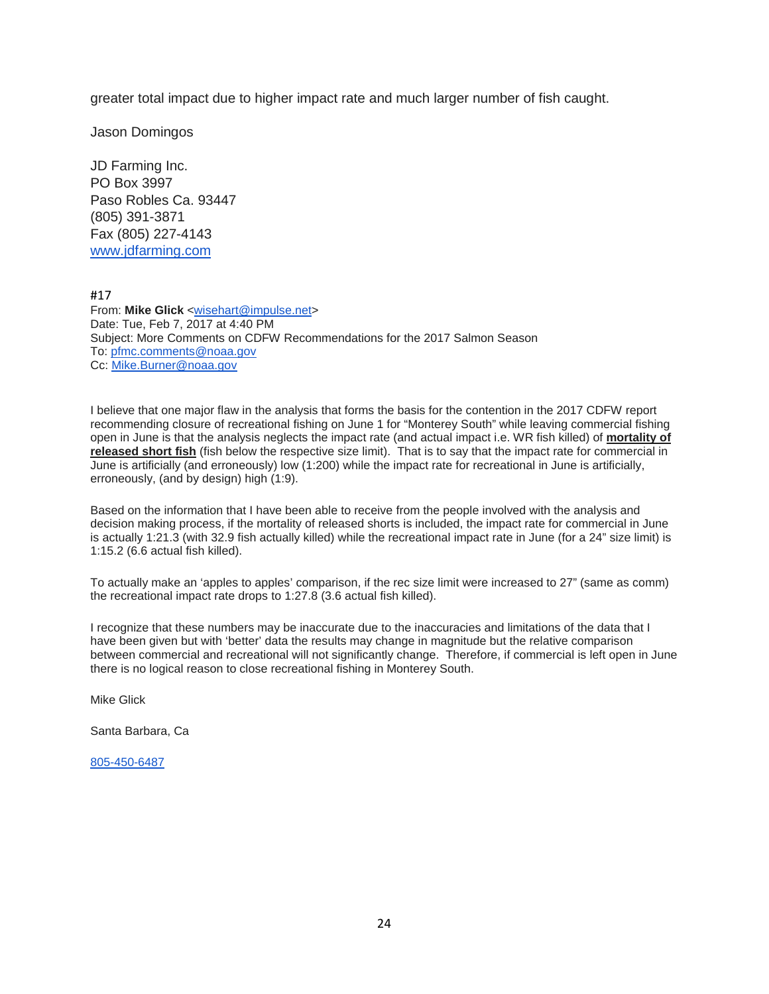greater total impact due to higher impact rate and much larger number of fish caught.

Jason Domingos

JD Farming Inc. PO Box 3997 Paso Robles Ca. 93447 (805) 391-3871 Fax (805) 227-4143 [www.jdfarming.com](http://www.jdfarming.com/)

#17

From: **Mike Glick** [<wisehart@impulse.net>](mailto:wisehart@impulse.net) Date: Tue, Feb 7, 2017 at 4:40 PM Subject: More Comments on CDFW Recommendations for the 2017 Salmon Season To: [pfmc.comments@noaa.gov](mailto:pfmc.comments@noaa.gov) Cc: [Mike.Burner@noaa.gov](mailto:Mike.Burner@noaa.gov)

I believe that one major flaw in the analysis that forms the basis for the contention in the 2017 CDFW report recommending closure of recreational fishing on June 1 for "Monterey South" while leaving commercial fishing open in June is that the analysis neglects the impact rate (and actual impact i.e. WR fish killed) of **mortality of released short fish** (fish below the respective size limit). That is to say that the impact rate for commercial in June is artificially (and erroneously) low (1:200) while the impact rate for recreational in June is artificially, erroneously, (and by design) high (1:9).

Based on the information that I have been able to receive from the people involved with the analysis and decision making process, if the mortality of released shorts is included, the impact rate for commercial in June is actually 1:21.3 (with 32.9 fish actually killed) while the recreational impact rate in June (for a 24" size limit) is 1:15.2 (6.6 actual fish killed).

To actually make an 'apples to apples' comparison, if the rec size limit were increased to 27" (same as comm) the recreational impact rate drops to 1:27.8 (3.6 actual fish killed).

I recognize that these numbers may be inaccurate due to the inaccuracies and limitations of the data that I have been given but with 'better' data the results may change in magnitude but the relative comparison between commercial and recreational will not significantly change. Therefore, if commercial is left open in June there is no logical reason to close recreational fishing in Monterey South.

Mike Glick

Santa Barbara, Ca

[805-450-6487](tel:(805)%20450-6487)